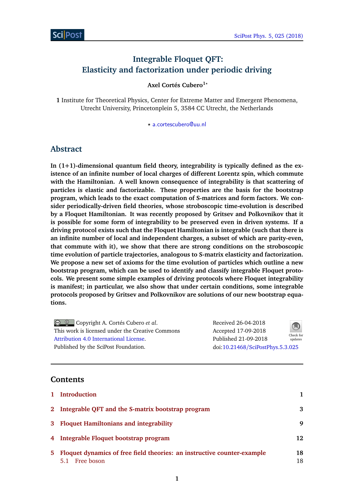# **Integrable Floquet QFT: Elasticity and factorization under periodic driving**

**Axel Cortés Cubero1***?*

**1** Institute for Theoretical Physics, Center for Extreme Matter and Emergent Phenomena, Utrecht University, Princetonplein 5, 3584 CC Utrecht, the Netherlands

*?* [a.cortescubero@uu.nl](mailto:a.cortescubero@uu.nl)

## **Abstract**

**In (1+1)-dimensional quantum field theory, integrability is typically defined as the existence of an infinite number of local charges of different Lorentz spin, which commute with the Hamiltonian. A well known consequence of integrability is that scattering of particles is elastic and factorizable. These properties are the basis for the bootstrap program, which leads to the exact computation of S-matrices and form factors. We consider periodically-driven field theories, whose stroboscopic time-evolution is described by a Floquet Hamiltonian. It was recently proposed by Gritsev and Polkovnikov that it is possible for some form of integrability to be preserved even in driven systems. If a driving protocol exists such that the Floquet Hamiltonian is integrable (such that there is an infinite number of local and independent charges, a subset of which are parity-even, that commute with it), we show that there are strong conditions on the stroboscopic time evolution of particle trajectories, analogous to S-matrix elasticity and factorization. We propose a new set of axioms for the time evolution of particles which outline a new bootstrap program, which can be used to identify and classify integrable Floquet protocols. We present some simple examples of driving protocols where Floquet integrability is manifest; in particular, we also show that under certain conditions, some integrable protocols proposed by Gritsev and Polkovnikov are solutions of our new bootstrap equations.**

Copyright A. Cortés Cubero *et al*. This work is licensed under the Creative Commons [Attribution 4.0 International License.](http://creativecommons.org/licenses/by/4.0/) Published by the SciPost Foundation. Received 26-04-2018 Accepted 17-09-2018 Published 21-09-2018  $Check for$ updates doi:10.21468/[SciPostPhys.5.3.025](http://dx.doi.org/10.21468/SciPostPhys.5.3.025)

## **Contents**

|    | 1 Introduction                                                          |    |  |  |
|----|-------------------------------------------------------------------------|----|--|--|
|    | 2 Integrable QFT and the S-matrix bootstrap program                     |    |  |  |
|    | 3 Floquet Hamiltonians and integrability                                | 9  |  |  |
|    | 4 Integrable Floquet bootstrap program                                  |    |  |  |
| 5. | Floquet dynamics of free field theories: an instructive counter-example |    |  |  |
|    | 5.1 Free boson                                                          | 18 |  |  |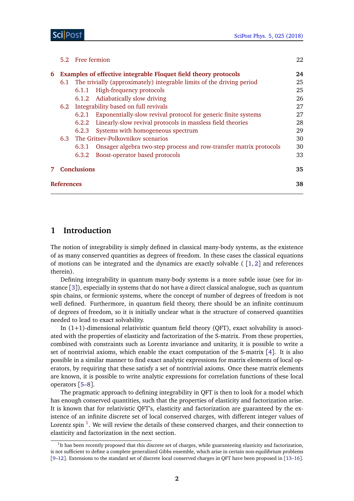|   |                                                                 | 5.2 Free fermion                      |                                                                       | 22 |  |
|---|-----------------------------------------------------------------|---------------------------------------|-----------------------------------------------------------------------|----|--|
| 6 | Examples of effective integrable Floquet field theory protocols |                                       |                                                                       | 24 |  |
|   | 6.1                                                             |                                       | The trivially (approximately) integrable limits of the driving period | 25 |  |
|   |                                                                 |                                       | 6.1.1 High-frequency protocols                                        | 25 |  |
|   |                                                                 |                                       | 6.1.2 Adiabatically slow driving                                      | 26 |  |
|   |                                                                 |                                       | 6.2 Integrability based on full revivals                              | 27 |  |
|   |                                                                 | 6.2.1                                 | Exponentially-slow revival protocol for generic finite systems        | 27 |  |
|   |                                                                 | 6.2.2                                 | Linearly-slow revival protocols in massless field theories            | 28 |  |
|   |                                                                 | 6.2.3                                 | Systems with homogeneous spectrum                                     | 29 |  |
|   |                                                                 | 6.3 The Gritsey-Polkovnikov scenarios |                                                                       |    |  |
|   |                                                                 | 6.3.1                                 | Onsager algebra two-step process and row-transfer matrix protocols    | 30 |  |
|   |                                                                 | 6.3.2                                 | Boost-operator based protocols                                        | 33 |  |
|   |                                                                 | <b>Conclusions</b>                    |                                                                       |    |  |
|   | <b>References</b>                                               |                                       |                                                                       |    |  |

## <span id="page-1-0"></span>**1 Introduction**

The notion of integrability is simply defined in classical many-body systems, as the existence of as many conserved quantities as degrees of freedom. In these cases the classical equations of motions can be integrated and the dynamics are exactly solvable  $([1, 2]$  $([1, 2]$  $([1, 2]$  $([1, 2]$  $([1, 2]$  and references therein).

Defining integrability in quantum many-body systems is a more subtle issue (see for instance [[3](#page-37-2)]), especially in systems that do not have a direct classical analogue, such as quantum spin chains, or fermionic systems, where the concept of number of degrees of freedom is not well defined. Furthermore, in quantum field theory, there should be an infinite continuum of degrees of freedom, so it is initially unclear what is the structure of conserved quantities needed to lead to exact solvability.

In  $(1+1)$ -dimensional relativistic quantum field theory (QFT), exact solvability is associated with the properties of elasticity and factorization of the S-matrix. From these properties, combined with constraints such as Lorentz invariance and unitarity, it is possible to write a set of nontrivial axioms, which enable the exact computation of the S-matrix [[4](#page-37-3)]. It is also possible in a similar manner to find exact analytic expressions for matrix elements of local operators, by requiring that these satisfy a set of nontrivial axioms. Once these matrix elements are known, it is possible to write analytic expressions for correlation functions of these local operators [[5](#page-37-4)[–8](#page-37-5)].

The pragmatic approach to defining integrability in QFT is then to look for a model which has enough conserved quantities, such that the properties of elasticity and factorization arise. It is known that for relativistic QFT's, elasticity and factorization are guaranteed by the existence of an infinite discrete set of local conserved charges, with different integer values of Lorentz spin  $^1$  $^1$ . We will review the details of these conserved charges, and their connection to elasticity and factorization in the next section.

<span id="page-1-1"></span><sup>&</sup>lt;sup>1</sup>It has been recently proposed that this discrete set of charges, while guaranteeing elasticity and factorization, is not sufficient to define a complete generalized Gibbs ensemble, which arise in certain non-equilibrium problems [[9–](#page-37-6)[12](#page-38-0)]. Extensions to the standard set of discrete local conserved charges in QFT have been proposed in [[13](#page-38-1)[–16](#page-38-2)].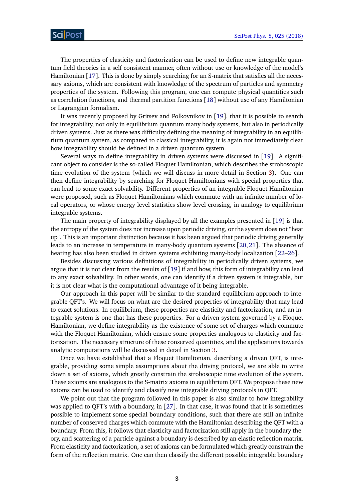The properties of elasticity and factorization can be used to define new integrable quantum field theories in a self consistent manner, often without use or knowledge of the model's Hamiltonian [[17](#page-38-3)]. This is done by simply searching for an S-matrix that satisfies all the necessary axioms, which are consistent with knowledge of the spectrum of particles and symmetry properties of the system. Following this program, one can compute physical quantities such as correlation functions, and thermal partition functions [[18](#page-38-4)] without use of any Hamiltonian or Lagrangian formalism.

It was recently proposed by Gritsev and Polkovnikov in [[19](#page-38-5)], that it is possible to search for integrability, not only in equilibrium quantum many body systems, but also in periodically driven systems. Just as there was difficulty defining the meaning of integrability in an equilibrium quantum system, as compared to classical integrability, it is again not immediately clear how integrability should be defined in a driven quantum system.

Several ways to define integrability in driven systems were discussed in [[19](#page-38-5)]. A significant object to consider is the so-called Floquet Hamiltonian, which describes the stroboscopic time evolution of the system (which we will discuss in more detail in Section [3\)](#page-8-0). One can then define integrability by searching for Floquet Hamiltonians with special properties that can lead to some exact solvability. Different properties of an integrable Floquet Hamiltonian were proposed, such as Floquet Hamiltonians which commute with an infinite number of local operators, or whose energy level statistics show level crossing, in analogy to equilibrium integrable systems.

The main property of integrability displayed by all the examples presented in [[19](#page-38-5)] is that the entropy of the system does not increase upon periodic driving, or the system does not "heat up". This is an important distinction because it has been argued that periodic driving generally leads to an increase in temperature in many-body quantum systems [[20,](#page-38-6) [21](#page-38-7)]. The absence of heating has also been studied in driven systems exhibiting many-body localization [[22–](#page-38-8)[26](#page-38-9)].

Besides discussing various definitions of integrability in periodically driven systems, we argue that it is not clear from the results of [[19](#page-38-5)] if and how, this form of integrability can lead to any exact solvability. In other words, one can identify if a driven system is integrable, but it is not clear what is the computational advantage of it being integrable.

Our approach in this paper will be similar to the standard equilibrium approach to integrable QFT's. We will focus on what are the desired properties of integrability that may lead to exact solutions. In equilibrium, these properties are elasticity and factorization, and an integrable system is one that has these properties. For a driven system governed by a Floquet Hamiltonian, we define integrability as the existence of some set of charges which commute with the Floquet Hamiltonian, which ensure some properties analogous to elasticity and factorization. The necessary structure of these conserved quantities, and the applications towards analytic computations will be discussed in detail in Section [3.](#page-8-0)

Once we have established that a Floquet Hamiltonian, describing a driven QFT, is integrable, providing some simple assumptions about the driving protocol, we are able to write down a set of axioms, which greatly constrain the stroboscopic time evolution of the system. These axioms are analogous to the S-matrix axioms in equilibrium QFT. We propose these new axioms can be used to identify and classify new integrable driving protocols in QFT.

We point out that the program followed in this paper is also similar to how integrability was applied to QFT's with a boundary, in [[27](#page-39-0)]. In that case, it was found that it is sometimes possible to implement some special boundary conditions, such that there are still an infinite number of conserved charges which commute with the Hamiltonian describing the QFT with a boundary. From this, it follows that elasticity and factorization still apply in the boundary theory, and scattering of a particle against a boundary is described by an elastic reflection matrix. From elasticity and factorization, a set of axioms can be formulated which greatly constrain the form of the reflection matrix. One can then classify the different possible integrable boundary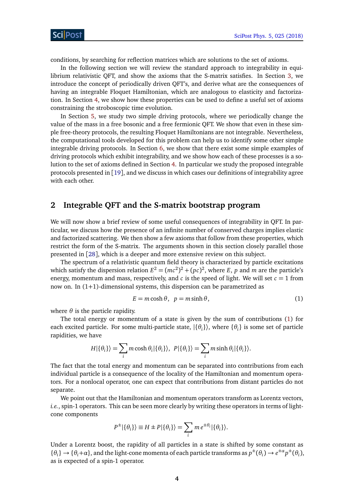conditions, by searching for reflection matrices which are solutions to the set of axioms.

In the following section we will review the standard approach to integrability in equilibrium relativistic QFT, and show the axioms that the S-matrix satisfies. In Section [3,](#page-8-0) we introduce the concept of periodically driven QFT's, and derive what are the consequences of having an integrable Floquet Hamiltonian, which are analogous to elasticity and factorization. In Section [4,](#page-11-0) we show how these properties can be used to define a useful set of axioms constraining the stroboscopic time evolution.

In Section [5,](#page-17-0) we study two simple driving protocols, where we periodically change the value of the mass in a free bosonic and a free fermionic QFT. We show that even in these simple free-theory protocols, the resulting Floquet Hamiltonians are not integrable. Nevertheless, the computational tools developed for this problem can help us to identify some other simple integrable driving protocols. In Section [6,](#page-24-0) we show that there exist some simple examples of driving protocols which exhibit integrability, and we show how each of these processes is a solution to the set of axioms defined in Section [4.](#page-11-0) In particular we study the proposed integrable protocols presented in [[19](#page-38-5)], and we discuss in which cases our definitions of integrability agree with each other.

## <span id="page-3-0"></span>**2 Integrable QFT and the S-matrix bootstrap program**

We will now show a brief review of some useful consequences of integrability in QFT. In particular, we discuss how the presence of an infinite number of conserved charges implies elastic and factorized scattering. We then show a few axioms that follow from these properties, which restrict the form of the S-matrix. The arguments shown in this section closely parallel those presented in [[28](#page-39-1)], which is a deeper and more extensive review on this subject.

The spectrum of a relativistic quantum field theory is characterized by particle excitations which satisfy the dispersion relation  $E^2 = (mc^2)^2 + (pc)^2$ , where *E*, *p* and *m* are the particle's energy, momentum and mass, respectively, and *c* is the speed of light. We will set  $c = 1$  from now on. In  $(1+1)$ -dimensional systems, this dispersion can be parametrized as

<span id="page-3-1"></span>
$$
E = m \cosh \theta, \ \ p = m \sinh \theta,\tag{1}
$$

where  $\theta$  is the particle rapidity.

The total energy or momentum of a state is given by the sum of contributions [\(1\)](#page-3-1) for each excited particle. For some multi-particle state,  $|\{\theta_i\}\rangle$ , where  $\{\theta_i\}$  is some set of particle rapidities, we have

<span id="page-3-2"></span>
$$
H|\{\theta_i\}\rangle = \sum_i m \cosh \theta_i |\{\theta_i\}\rangle, \ P|\{\theta_i\}\rangle = \sum_i m \sinh \theta_i |\{\theta_i\}\rangle.
$$

The fact that the total energy and momentum can be separated into contributions from each individual particle is a consequence of the locality of the Hamiltonian and momentum operators. For a nonlocal operator, one can expect that contributions from distant particles do not separate.

We point out that the Hamiltonian and momentum operators transform as Lorentz vectors, *i.e.*, spin-1 operators. This can be seen more clearly by writing these operators in terms of lightcone components

$$
P^{\pm}|\{\theta_i\}\rangle \equiv H \pm P|\{\theta_i\}\rangle = \sum_i m e^{\pm \theta_i} |\{\theta_i\}\rangle.
$$

Under a Lorentz boost, the rapidity of all particles in a state is shifted by some constant as  $\{\theta_i\} \to \{\theta_i + \alpha\}$ , and the light-cone momenta of each particle transforms as  $p^{\pm}(\theta_i) \to e^{\pm \alpha} p^{\pm}(\theta_i)$ , as is expected of a spin-1 operator.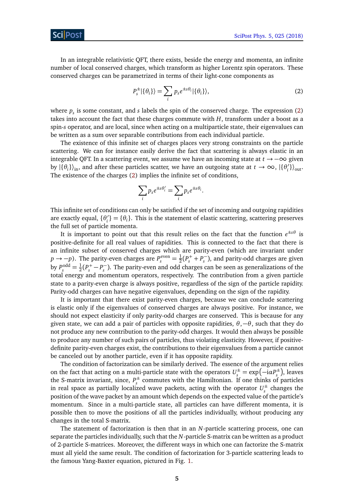In an integrable relativistic QFT, there exists, beside the energy and momenta, an infinite number of local conserved charges, which transform as higher Lorentz spin operators. These conserved charges can be parametrized in terms of their light-cone components as

$$
P_s^{\pm}|\{\theta_i\}\rangle = \sum_i p_s e^{\pm s\theta_i} |\{\theta_i\}\rangle,\tag{2}
$$

where  $p_s$  is some constant, and *s* labels the spin of the conserved charge. The expression [\(2\)](#page-3-2) takes into account the fact that these charges commute with *H*, transform under a boost as a spin-*s* operator, and are local, since when acting on a multiparticle state, their eigenvalues can be written as a sum over separable contributions from each individual particle.

The existence of this infinite set of charges places very strong constraints on the particle scattering. We can for instance easily derive the fact that scattering is always elastic in an integrable QFT. In a scattering event, we assume we have an incoming state at *t* → −∞ given by  $|\{\theta_i\}\rangle$ <sub>in</sub>, and after these particles scatter, we have an outgoing state at  $t \to \infty$ ,  $|\{\theta_i\}\rangle$  $\binom{7}{i}$ <sub>out</sub>. The existence of the charges [\(2\)](#page-3-2) implies the infinite set of conditions,

<span id="page-4-0"></span>
$$
\sum_i p_s e^{\pm s\theta'_i} = \sum_i p_s e^{\pm s\theta_i}.
$$

This infinite set of conditions can only be satisfied if the set of incoming and outgoing rapidities are exactly equal, {θ<sub>i</sub>  $\mathbf{a}'_i$ } = { $\theta_i$ }. This is the statement of elastic scattering, scattering preserves the full set of particle momenta.

It is important to point out that this result relies on the fact that the function  $e^{\pm s\theta}$  is positive-definite for all real values of rapidities. This is connected to the fact that there is an infinite subset of conserved charges which are parity-even (which are invariant under *p* → *-p*). The parity-even charges are  $P_s^{\text{even}} = \frac{1}{2}$  $\frac{1}{2}(P_s^+ + P_s^-)$ *s* ), and parity-odd charges are given by  $P_s^{\text{odd}} = \frac{1}{2}$  $\frac{1}{2}(P_s^+ - P_s^-)$ *s* ). The parity-even and odd charges can be seen as generalizations of the total energy and momentum operators, respectively. The contribution from a given particle state to a parity-even charge is always positive, regardless of the sign of the particle rapidity. Parity-odd charges can have negative eigenvalues, depending on the sign of the rapidity.

It is important that there exist parity-even charges, because we can conclude scattering is elastic only if the eigenvalues of conserved charges are always positive. For instance, we should not expect elasticity if only parity-odd charges are conserved. This is because for any given state, we can add a pair of particles with opposite rapidities,  $\theta$ ,  $-\theta$ , such that they do not produce any new contribution to the parity-odd charges. It would then always be possible to produce any number of such pairs of particles, thus violating elasticity. However, if positivedefinite parity-even charges exist, the contributions to their eigenvalues from a particle cannot be canceled out by another particle, even if it has opposite rapidity.

The condition of factorization can be similarly derived. The essence of the argument relies on the fact that acting on a multi-particle state with the operators  $U_s^{\pm} = \exp(-i\alpha P_s^{\pm})$  $(s<sub>s</sub><sup>±</sup>)$ , leaves the S-matrix invariant, since,  $P_{s}^{\pm}$ *s* commutes with the Hamiltonian. If one thinks of particles in real space as partially localized wave packets, acting with the operator  $U_{\rm s}^{\pm}$  $s^{\pm}$  changes the position of the wave packet by an amount which depends on the expected value of the particle's momentum. Since in a multi-particle state, all particles can have different momenta, it is possible then to move the positions of all the particles individually, without producing any changes in the total S-matrix.

The statement of factorization is then that in an *N*-particle scattering process, one can separate the particles individually, such that the *N*-particle S-matrix can be written as a product of 2-particle S-matrices. Moreover, the different ways in which one can factorize the S-matrix must all yield the same result. The condition of factorization for 3-particle scattering leads to the famous Yang-Baxter equation, pictured in Fig. [1.](#page-6-0)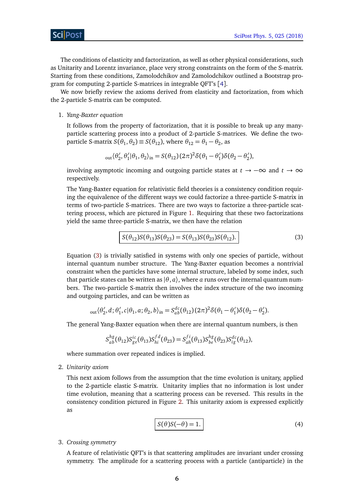The conditions of elasticity and factorization, as well as other physical considerations, such as Unitarity and Lorentz invariance, place very strong constraints on the form of the S-matrix. Starting from these conditions, Zamolodchikov and Zamolodchikov outlined a Bootstrap program for computing 2-particle S-matrices in integrable QFT's [[4](#page-37-3)].

We now briefly review the axioms derived from elasticity and factorization, from which the 2-particle S-matrix can be computed.

1. *Yang-Baxter equation*

It follows from the property of factorization, that it is possible to break up any manyparticle scattering process into a product of 2-particle S-matrices. We define the twoparticle S-matrix  $S(\theta_1, \theta_2) \equiv S(\theta_{12})$ , where  $\theta_{12} = \theta_1 - \theta_2$ , as

$$
{}_{\text{out}}\langle\theta_2',\theta_1'|\theta_1,\theta_2\rangle_{\text{in}}=S(\theta_{12})(2\pi)^2\delta(\theta_1-\theta_1')\delta(\theta_2-\theta_2'),
$$

involving asymptotic incoming and outgoing particle states at *t* → −∞ and *t* → ∞ respectively.

The Yang-Baxter equation for relativistic field theories is a consistency condition requiring the equivalence of the different ways we could factorize a three-particle S-matrix in terms of two-particle S-matrices. There are two ways to factorize a three-particle scattering process, which are pictured in Figure [1.](#page-6-0) Requiring that these two factorizations yield the same three-particle S-matrix, we then have the relation

$$
S(\theta_{12})S(\theta_{13})S(\theta_{23}) = S(\theta_{13})S(\theta_{23})S(\theta_{12}).
$$
\n(3)

Equation [\(3\)](#page-4-0) is trivially satisfied in systems with only one species of particle, without internal quantum number structure. The Yang-Baxter equation becomes a nontrivial constraint when the particles have some internal structure, labeled by some index, such that particle states can be written as  $(\theta, a)$ , where *a* runs over the internal quantum numbers. The two-particle S-matrix then involves the index structure of the two incoming and outgoing particles, and can be written as

$$
{}_{\text{out}}\langle\theta_2',d;\theta_1',c|\theta_1,a;\theta_2,b\rangle_{\text{in}}=S_{ab}^{dc}(\theta_{12})(2\pi)^2\delta(\theta_1-\theta_1')\delta(\theta_2-\theta_2').
$$

The general Yang-Baxter equation when there are internal quantum numbers, is then

$$
S_{ab}^{hg}(\theta_{12})S_{ge}^{ic}(\theta_{13})S_{hi}^{fd}(\theta_{23})=S_{ah}^{fi}(\theta_{13})S_{be}^{hg}(\theta_{23})S_{ig}^{dc}(\theta_{12}),
$$

where summation over repeated indices is implied.

2. *Unitarity axiom*

This next axiom follows from the assumption that the time evolution is unitary, applied to the 2-particle elastic S-matrix. Unitarity implies that no information is lost under time evolution, meaning that a scattering process can be reversed. This results in the consistency condition pictured in Figure [2.](#page-6-1) This unitarity axiom is expressed explicitly as

$$
S(\theta)S(-\theta) = 1.
$$
 (4)

3. *Crossing symmetry*

A feature of relativistic QFT's is that scattering amplitudes are invariant under crossing symmetry. The amplitude for a scattering process with a particle (antiparticle) in the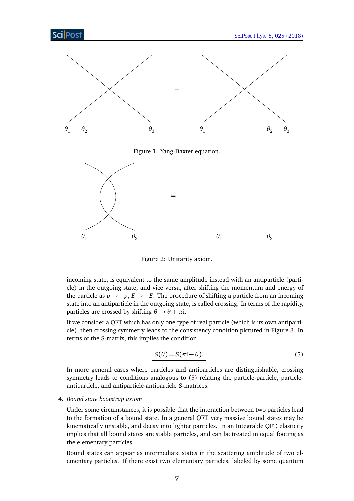<span id="page-6-1"></span><span id="page-6-0"></span>

Figure 2: Unitarity axiom.

incoming state, is equivalent to the same amplitude instead with an antiparticle (particle) in the outgoing state, and vice versa, after shifting the momentum and energy of the particle as  $p \rightarrow -p$ ,  $E \rightarrow -E$ . The procedure of shifting a particle from an incoming state into an antiparticle in the outgoing state, is called crossing. In terms of the rapidity, particles are crossed by shifting  $\theta \rightarrow \theta + \pi i$ .

If we consider a QFT which has only one type of real particle (which is its own antiparticle), then crossing symmetry leads to the consistency condition pictured in Figure [3.](#page-7-0) In terms of the S-matrix, this implies the condition

<span id="page-6-2"></span>
$$
S(\theta) = S(\pi i - \theta). \tag{5}
$$

In more general cases where particles and antiparticles are distinguishable, crossing symmetry leads to conditions analogous to [\(5\)](#page-6-2) relating the particle-particle, particleantiparticle, and antiparticle-antiparticle S-matrices.

### 4. *Bound state bootstrap axiom*

Under some circumstances, it is possible that the interaction between two particles lead to the formation of a bound state. In a general QFT, very massive bound states may be kinematically unstable, and decay into lighter particles. In an Integrable QFT, elasticity implies that all bound states are stable particles, and can be treated in equal footing as the elementary particles.

Bound states can appear as intermediate states in the scattering amplitude of two elementary particles. If there exist two elementary particles, labeled by some quantum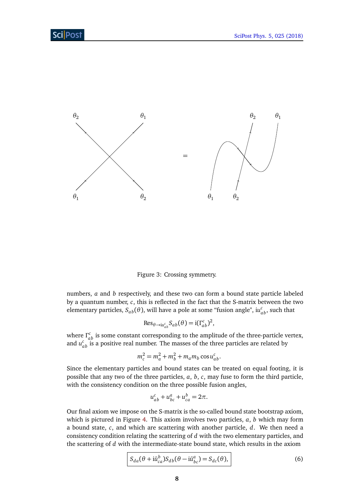<span id="page-7-0"></span>

Figure 3: Crossing symmetry.

numbers, *a* and *b* respectively, and these two can form a bound state particle labeled by a quantum number, *c*, this is reflected in the fact that the S-matrix between the two elementary particles,  $S_{ab}(\theta)$ , will have a pole at some "fusion angle",  $\mathfrak{iu}_{ab}^c$ , such that

$$
\operatorname{Res}_{\theta \to i u_{ab}^c} S_{ab}(\theta) = i(\Gamma_{ab}^c)^2,
$$

where  $Γ<sub>ab</sub><sup>c</sup>$  is some constant corresponding to the amplitude of the three-particle vertex, and  $u_{ab}^c$  is a positive real number. The masses of the three particles are related by

$$
m_c^2 = m_a^2 + m_b^2 + m_a m_b \cos u_{ab}^c.
$$

Since the elementary particles and bound states can be treated on equal footing, it is possible that any two of the three particles, *a*, *b*, *c*, may fuse to form the third particle, with the consistency condition on the three possible fusion angles,

$$
u_{ab}^c + u_{bc}^a + u_{ca}^b = 2\pi.
$$

Our final axiom we impose on the S-matrix is the so-called bound state bootstrap axiom, which is pictured in Figure [4.](#page-8-1) This axiom involves two particles, *a*, *b* which may form a bound state, *c*, and which are scattering with another particle, *d*. We then need a consistency condition relating the scattering of *d* with the two elementary particles, and the scattering of *d* with the intermediate-state bound state, which results in the axiom

$$
S_{da}(\theta + i\bar{u}_{ca}^b)S_{db}(\theta - i\bar{u}_{bc}^a) = S_{dc}(\theta),
$$
\n(6)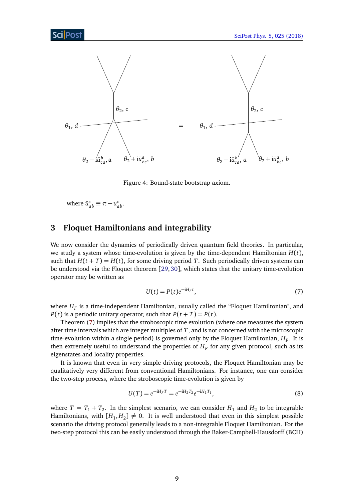<span id="page-8-1"></span>

Figure 4: Bound-state bootstrap axiom.

where  $\bar{u}_{ab}^c \equiv \pi - u_{ab}^c$ .

# <span id="page-8-0"></span>**3 Floquet Hamiltonians and integrability**

We now consider the dynamics of periodically driven quantum field theories. In particular, we study a system whose time-evolution is given by the time-dependent Hamiltonian *H*(*t*), such that  $H(t+T) = H(t)$ , for some driving period T. Such periodically driven systems can be understood via the Floquet theorem [[29,](#page-39-2) [30](#page-39-3)], which states that the unitary time-evolution operator may be written as

<span id="page-8-2"></span>
$$
U(t) = P(t)e^{-iH_F t},\tag{7}
$$

where  $H_F$  is a time-independent Hamiltonian, usually called the "Floquet Hamiltonian", and *P*(*t*) is a periodic unitary operator, such that  $P(t + T) = P(t)$ .

Theorem [\(7\)](#page-8-2) implies that the stroboscopic time evolution (where one measures the system after time intervals which are integer multiples of *T*, and is not concerned with the microscopic time-evolution within a single period) is governed only by the Floquet Hamiltonian,  $H_F$ . It is then extremely useful to understand the properties of  $H_F$  for any given protocol, such as its eigenstates and locality properties.

It is known that even in very simple driving protocols, the Floquet Hamiltonian may be qualitatively very different from conventional Hamiltonians. For instance, one can consider the two-step process, where the stroboscopic time-evolution is given by

<span id="page-8-3"></span>
$$
U(T) = e^{-iH_F T} = e^{-iH_2 T_2} e^{-iH_1 T_1},
$$
\n(8)

where  $T = T_1 + T_2$ . In the simplest scenario, we can consider  $H_1$  and  $H_2$  to be integrable Hamiltonians, with  $[H_1, H_2] \neq 0$ . It is well understood that even in this simplest possible scenario the driving protocol generally leads to a non-integrable Floquet Hamiltonian. For the two-step protocol this can be easily understood through the Baker-Campbell-Hausdorff (BCH)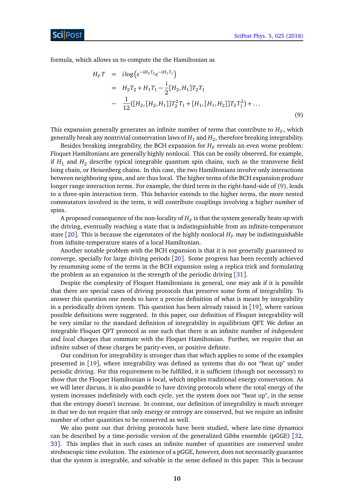formula, which allows us to compute the the Hamiltonian as

<span id="page-9-0"></span>
$$
H_F T = i \log \left( e^{-iH_2 T_2} e^{-iH_1 T_1} \right)
$$
  
=  $H_2 T_2 + H_1 T_1 - \frac{i}{2} [H_2, H_1] T_2 T_1$   
-  $\frac{1}{12} ([H_2, [H_2, H_1]] T_2^2 T_1 + [H_1, [H_1, H_2]] T_2 T_1^2) + ...$  (9)

This expansion generally generates an infinite number of terms that contribute to  $H_F$ , which generally break any nontrivial conservation laws of  $H_1$  and  $H_2$ , therefore breaking integrability.

Besides breaking integrability, the BCH expansion for  $H_F$  reveals an even worse problem: Floquet Hamiltonians are generally highly nonlocal. This can be easily observed, for example, if  $H_1$  and  $H_2$  describe typical integrable quantum spin chains, such as the transverse field Ising chain, or Heisenberg chains. In this case, the two Hamiltonians involve only interactions between neighboring spins, and are thus local. The higher terms of the BCH expansion produce longer range interaction terms. For example, the third term in the right-hand-side of [\(9\)](#page-9-0), leads to a three-spin interaction term. This behavior extends to the higher terms, the more nested commutators involved in the term, it will contribute couplings involving a higher number of spins.

A proposed consequence of the non-locality of  $H_F$  is that the system generally heats up with the driving, eventually reaching a state that is indistinguishable from an infinite-temperature state [[20](#page-38-6)]. This is because the eigenstates of the highly nonlocal  $H<sub>F</sub>$  may be indistinguishable from infinite-temperature states of a local Hamiltonian.

Another notable problem with the BCH expansion is that it is not generally guaranteed to converge, specially for large driving periods [[20](#page-38-6)]. Some progress has been recently achieved by resumming some of the terms in the BCH expansion using a replica trick and formulating the problem as an expansion in the strength of the periodic driving [[31](#page-39-4)].

Despite the complexity of Floquet Hamiltonians in general, one may ask if it is possible that there are special cases of driving protocols that preserve some form of integrability. To answer this question one needs to have a precise definition of what is meant by integrability in a periodically driven system. This question has been already raised in [[19](#page-38-5)], where various possible definitions were suggested. In this paper, our definition of Floquet integrability will be very similar to the standard definition of integrability in equilibrium QFT. We define an integrable Floquet QFT protocol as one such that there is an infinite number of *independent* and *local* charges that commute with the Floquet Hamiltonian. Further, we require that an infinite subset of these charges be parity-even, or positive definite.

Our condition for integrability is stronger than that which applies to some of the examples presented in [[19](#page-38-5)], where integrability was defined as systems that do not "heat up" under periodic driving. For this requirement to be fulfilled, it is sufficient (though not necessary) to show that the Floquet Hamiltonian is local, which implies traditional energy conservation. As we will later discuss, it is also possible to have driving protocols where the total energy of the system increases indefinitely with each cycle, yet the system does not "heat up", in the sense that the entropy doesn't increase. In contrast, our definition of integrability is much stronger in that we do not require that only energy or entropy are conserved, but we require an infinite number of other quantities to be conserved as well.

We also point out that driving protocols have been studied, where late-time dynamics can be described by a time-periodic version of the generalized Gibbs ensemble (pGGE) [[32,](#page-39-5) [33](#page-39-6)]. This implies that in such cases an infinite number of quantities are conserved under stroboscopic time evolution. The existence of a pGGE, however, does not necessarily guarantee that the system is integrable, and solvable in the sense defined in this paper. This is because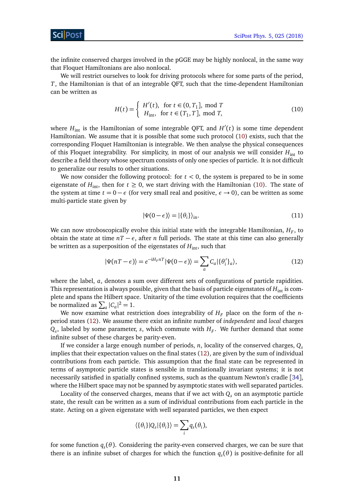ScilPos

the infinite conserved charges involved in the pGGE may be highly nonlocal, in the same way that Floquet Hamiltonians are also nonlocal.

We will restrict ourselves to look for driving protocols where for some parts of the period, *T*, the Hamiltonian is that of an integrable QFT, such that the time-dependent Hamiltonian can be written as

<span id="page-10-0"></span>
$$
H(t) = \begin{cases} H'(t), & \text{for } t \in (0, T_1], \text{ mod } T\\ H_{\text{int}}, & \text{for } t \in (T_1, T], \text{ mod } T, \end{cases} \tag{10}
$$

where  $H_{\text{int}}$  is the Hamiltonian of some integrable QFT, and  $H'(t)$  is some time dependent Hamiltonian. We assume that it is possible that some such protocol [\(10\)](#page-10-0) exists, such that the corresponding Floquet Hamiltonian is integrable. We then analyse the physical consequences of this Floquet integrability. For simplicity, in most of our analysis we will consider *H*int to describe a field theory whose spectrum consists of only one species of particle. It is not difficult to generalize our results to other situations.

We now consider the following protocol: for  $t < 0$ , the system is prepared to be in some eigenstate of  $H_{int}$ , then for  $t \ge 0$ , we start driving with the Hamiltonian [\(10\)](#page-10-0). The state of the system at time  $t = 0 - \epsilon$  (for very small real and positive,  $\epsilon \to 0$ ), can be written as some multi-particle state given by

<span id="page-10-2"></span>
$$
|\Psi(0-\epsilon)\rangle = |\{\theta_i\}\rangle_{\text{in}}.\tag{11}
$$

We can now stroboscopically evolve this initial state with the integrable Hamiltonian,  $H_F$ , to obtain the state at time  $nT - \epsilon$ , after *n* full periods. The state at this time can also generally be written as a superposition of the eigenstates of  $H_{\text{int}}$ , such that

<span id="page-10-1"></span>
$$
|\Psi(nT - \epsilon)\rangle = e^{-iH_F nT} |\Psi(0 - \epsilon)\rangle = \sum_{a} C_a |\{\theta'_i\}_a\rangle,\tag{12}
$$

where the label, *a*, denotes a sum over different sets of configurations of particle rapidities. This representation is always possible, given that the basis of particle eigenstates of  $H_{\text{int}}$  is complete and spans the Hilbert space. Unitarity of the time evolution requires that the coefficients be normalized as  $\sum_a |C_a|^2 = 1$ .

We now examine what restriction does integrability of  $H_F$  place on the form of the *n*period states [\(12\)](#page-10-1). We assume there exist an infinite number of *independent* and *local* charges  $Q_s$ , labeled by some parameter, *s*, which commute with  $H_F$ . We further demand that some infinite subset of these charges be parity-even.

If we consider a large enough number of periods, *n*, locality of the conserved charges, *Q<sup>s</sup>* implies that their expectation values on the final states [\(12\)](#page-10-1), are given by the sum of individual contributions from each particle. This assumption that the final state can be represented in terms of asymptotic particle states is sensible in translationally invariant systems; it is not necessarily satisfied in spatially confined systems, such as the quantum Newton's cradle [[34](#page-39-7)], where the Hilbert space may not be spanned by asymptotic states with well separated particles.

Locality of the conserved charges, means that if we act with *Q<sup>s</sup>* on an asymptotic particle state, the result can be written as a sum of individual contributions from each particle in the state. Acting on a given eigenstate with well separated particles, we then expect

<span id="page-10-3"></span>
$$
\langle {\theta_i} {\} | Q_s | {\theta_i} {\} \rangle = \sum_i q_s(\theta_i),
$$

for some function *q<sup>s</sup>* (*θ*). Considering the parity-even conserved charges, we can be sure that there is an infinite subset of charges for which the function  $q_s(\theta)$  is positive-definite for all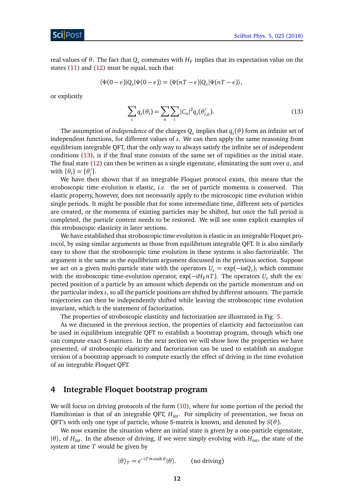real values of  $\theta$ . The fact that  $Q_s$  commutes with  $H_F$  implies that its expectation value on the states [\(11\)](#page-10-2) and [\(12\)](#page-10-1) must be equal, such that

$$
\langle \Psi(0-\epsilon)|Q_s|\Psi(0-\epsilon)\rangle = \langle \Psi(nT-\epsilon)|Q_s|\Psi(nT-\epsilon)\rangle,
$$

or explicitly

$$
\sum_{i} q_s(\theta_i) = \sum_{a} \sum_{i} |C_a|^2 q_s(\theta'_{i,a}).
$$
\n(13)

The assumption of *independence* of the charges  $Q_s$  implies that  $q_s(\theta)$  form an infinite set of independent functions, for different values of *s*. We can then apply the same reasoning from equilibrium integrable QFT, that the only way to always satisfy the infinite set of independent conditions [\(13\)](#page-10-3), is if the final state consists of the same set of rapidities as the initial state. The final state [\(12\)](#page-10-1) can then be written as a single eigenstate, eliminating the sum over *a*, and with  $\{\theta_i\} = \{\theta'_i\}$ *i* }.

We have then shown that if an integrable Floquet protocol exists, this means that the stroboscopic time evolution is elastic, *i.e.* the set of particle momenta is conserved. This elastic property, however, does not necessarily apply to the microscopic time evolution within single periods. It might be possible that for some intermediate time, different sets of particles are created, or the momenta of existing particles may be shifted, but once the full period is completed, the particle content needs to be restored. We will see some explicit examples of this stroboscopic elasticity in later sections.

We have established that stroboscopic time evolution is elastic in an integrable Floquet protocol, by using similar arguments as those from equilibrium integrable QFT. It is also similarly easy to show that the stroboscopic time evolution in these systems is also factorizable. The argument is the same as the equilibrium argument discussed in the previous section. Suppose we act on a given multi-particle state with the operators  $U_s = \exp(-i\alpha Q_s)$ , which commute with the stroboscopic time-evolution operator, exp( $-iH_F nT$ ). The operators  $U_s$  shift the expected position of a particle by an amount which depends on the particle momentum and on the particular index *s*, so all the particle positions are shifted by different amounts. The particle trajectories can then be independently shifted while leaving the stroboscopic time evolution invariant, which is the statement of factorization.

The properties of stroboscopic elasticity and factorization are illustrated in Fig. [5.](#page-12-0)

As we discussed in the previous section, the properties of elasticity and factorization can be used in equilibrium integrable QFT to establish a bootstrap program, through which one can compute exact S-matrices. In the next section we will show how the properties we have presented, of stroboscopic elasticity and factorization can be used to establish an analogue version of a bootstrap approach to compute exactly the effect of driving in the time evolution of an integrable Floquet QFT.

### <span id="page-11-0"></span>**4 Integrable Floquet bootstrap program**

We will focus on driving protocols of the form  $(10)$ , where for some portion of the period the Hamiltonian is that of an integrable QFT,  $H_{int}$ . For simplicity of presentation, we focus on QFT's with only one type of particle, whose S-matrix is known, and denoted by *S*(*θ*).

We now examine the situation where an initial state is given by a one-particle eigenstate,  $|\theta\rangle$ , of *H*<sub>int</sub>. In the absence of driving, if we were simply evolving with *H*<sub>int</sub>, the state of the system at time *T* would be given by

<span id="page-11-1"></span>
$$
|\theta\rangle_T = e^{-iTm\cosh\theta}|\theta\rangle.
$$
 (no driving)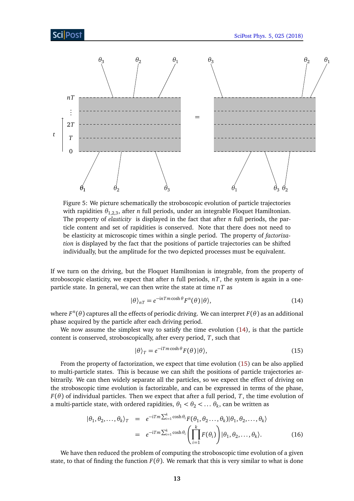<span id="page-12-0"></span>

Figure 5: We picture schematically the stroboscopic evolution of particle trajectories with rapidities  $\theta_{1,2,3}$ , after *n* full periods, under an integrable Floquet Hamiltonian. The property of *elasticity* is displayed in the fact that after *n* full periods, the particle content and set of rapidities is conserved. Note that there does not need to be elasticity at microscopic times within a single period. The property of *factorization* is displayed by the fact that the positions of particle trajectories can be shifted individually, but the amplitude for the two depicted processes must be equivalent.

If we turn on the driving, but the Floquet Hamiltonian is integrable, from the property of stroboscopic elasticity, we expect that after n full periods,  $nT$ , the system is again in a oneparticle state. In general, we can then write the state at time *nT* as

$$
|\theta\rangle_{nT} = e^{-inTm\cosh\theta} F^{n}(\theta)|\theta\rangle, \qquad (14)
$$

where  $F^n(\theta)$  captures all the effects of periodic driving. We can interpret  $F(\theta)$  as an additional phase acquired by the particle after each driving period.

We now assume the simplest way to satisfy the time evolution [\(14\)](#page-11-1), is that the particle content is conserved, stroboscopically, after every period, *T*, such that

<span id="page-12-1"></span>
$$
|\theta\rangle_T = e^{-i T m \cosh \theta} F(\theta) |\theta\rangle, \qquad (15)
$$

From the property of factorization, we expect that time evolution [\(15\)](#page-12-1) can be also applied to multi-particle states. This is because we can shift the positions of particle trajectories arbitrarily. We can then widely separate all the particles, so we expect the effect of driving on the stroboscopic time evolution is factorizable, and can be expressed in terms of the phase,  $F(\theta)$  of individual particles. Then we expect that after a full period, *T*, the time evolution of a multi-particle state, with ordered rapidities,  $\theta_1 < \theta_2 < \dots$   $\theta_k$ , can be written as

$$
|\theta_1, \theta_2, \dots, \theta_k\rangle_T = e^{-i T m \sum_{i=1}^k \cosh \theta_i} F(\theta_1, \theta_2, \dots, \theta_k) |\theta_1, \theta_2, \dots, \theta_k\rangle
$$
  

$$
= e^{-i T m \sum_{i=1}^k \cosh \theta_i} \left( \prod_{i=1}^k F(\theta_i) \right) |\theta_1, \theta_2, \dots, \theta_k\rangle. \tag{16}
$$

We have then reduced the problem of computing the stroboscopic time evolution of a given state, to that of finding the function  $F(\theta)$ . We remark that this is very similar to what is done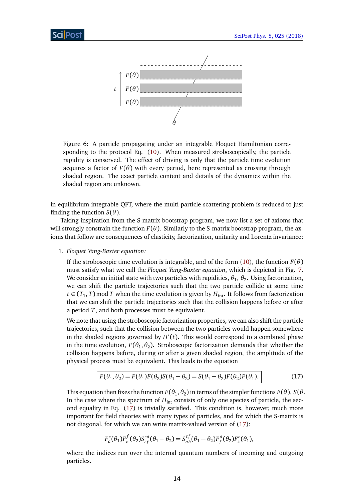![](_page_13_Figure_2.jpeg)

Figure 6: A particle propagating under an integrable Floquet Hamiltonian corresponding to the protocol Eq. [\(10\)](#page-10-0). When measured stroboscopically, the particle rapidity is conserved. The effect of driving is only that the particle time evolution acquires a factor of  $F(\theta)$  with every period, here represented as crossing through shaded region. The exact particle content and details of the dynamics within the shaded region are unknown.

in equilibrium integrable QFT, where the multi-particle scattering problem is reduced to just finding the function  $S(\theta)$ .

Taking inspiration from the S-matrix bootstrap program, we now list a set of axioms that will strongly constrain the function  $F(\theta)$ . Similarly to the S-matrix bootstrap program, the axioms that follow are consequences of elasticity, factorization, unitarity and Lorentz invariance:

1. *Floquet Yang-Baxter equation:*

If the stroboscopic time evolution is integrable, and of the form [\(10\)](#page-10-0), the function  $F(\theta)$ must satisfy what we call the *Floquet Yang-Baxter equation*, which is depicted in Fig. [7.](#page-14-0) We consider an initial state with two particles with rapidities,  $\theta_1, \, \theta_2.$  Using factorization, we can shift the particle trajectories such that the two particle collide at some time *t* ∈ ( $T_1$ , *T*) mod *T* when the time evolution is given by  $H_{int}$ . It follows from factorization that we can shift the particle trajectories such that the collision happens before or after a period *T*, and both processes must be equivalent.

We note that using the stroboscopic factorization properties, we can also shift the particle trajectories, such that the collision between the two particles would happen somewhere in the shaded regions governed by  $H'(t)$ . This would correspond to a combined phase in the time evolution,  $F(\theta_1, \theta_2)$ . Stroboscopic factorization demands that whether the collision happens before, during or after a given shaded region, the amplitude of the physical process must be equivalent. This leads to the equation

<span id="page-13-0"></span>
$$
F(\theta_1, \theta_2) = F(\theta_1)F(\theta_2)S(\theta_1 - \theta_2) = S(\theta_1 - \theta_2)F(\theta_2)F(\theta_1).
$$
\n(17)

This equation then fixes the function  $F(\theta_1, \theta_2)$  in terms of the simpler functions  $F(\theta),$   $S(\theta)$ . In the case where the spectrum of  $H_{int}$  consists of only one species of particle, the second equality in Eq. [\(17\)](#page-13-0) is trivially satisfied. This condition is, however, much more important for field theories with many types of particles, and for which the S-matrix is not diagonal, for which we can write matrix-valued version of [\(17\)](#page-13-0):

<span id="page-13-1"></span>
$$
F_a^e(\theta_1)F_b^f(\theta_2)S_{ef}^{cd}(\theta_1-\theta_2) = S_{ab}^{ef}(\theta_1-\theta_2)F_f^d(\theta_2)F_e^c(\theta_1),
$$

where the indices run over the internal quantum numbers of incoming and outgoing particles.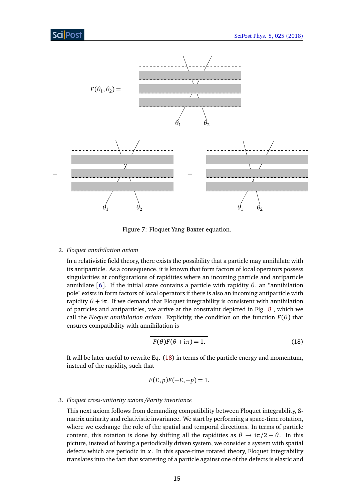<span id="page-14-0"></span>![](_page_14_Figure_2.jpeg)

Figure 7: Floquet Yang-Baxter equation.

#### 2. *Floquet annihilation axiom*

In a relativistic field theory, there exists the possibility that a particle may annihilate with its antiparticle. As a consequence, it is known that form factors of local operators possess singularities at configurations of rapidities where an incoming particle and antiparticle annihilate [[6](#page-37-7)]. If the initial state contains a particle with rapidity *θ*, an "annihilation pole" exists in form factors of local operators if there is also an incoming antiparticle with rapidity  $θ + iπ$ . If we demand that Floquet integrability is consistent with annihilation of particles and antiparticles, we arrive at the constraint depicted in Fig. [8](#page-15-0) , which we call the *Floquet annihilation axiom.* Explicitly, the condition on the function  $F(\theta)$  that ensures compatibility with annihilation is

$$
F(\theta)F(\theta + i\pi) = 1.
$$
 (18)

It will be later useful to rewrite Eq. [\(18\)](#page-13-1) in terms of the particle energy and momentum, instead of the rapidity, such that

<span id="page-14-1"></span>
$$
F(E, p)F(-E, -p) = 1.
$$

#### 3. *Floquet cross-unitarity axiom/Parity invariance*

This next axiom follows from demanding compatibility between Floquet integrability, Smatrix unitarity and relativistic invariance. We start by performing a space-time rotation, where we exchange the role of the spatial and temporal directions. In terms of particle content, this rotation is done by shifting all the rapidities as  $\theta \rightarrow i\pi/2 - \theta$ . In this picture, instead of having a periodically driven system, we consider a system with spatial defects which are periodic in *x*. In this space-time rotated theory, Floquet integrability translates into the fact that scattering of a particle against one of the defects is elastic and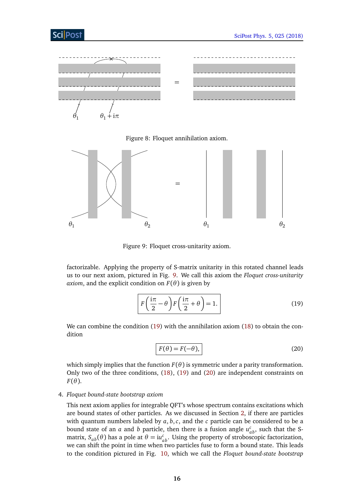<span id="page-15-0"></span>![](_page_15_Figure_2.jpeg)

![](_page_15_Figure_3.jpeg)

<span id="page-15-1"></span>![](_page_15_Figure_4.jpeg)

Figure 9: Floquet cross-unitarity axiom.

factorizable. Applying the property of S-matrix unitarity in this rotated channel leads us to our next axiom, pictured in Fig. [9.](#page-15-1) We call this axiom the *Floquet cross-unitarity axiom*, and the explicit condition on  $F(\theta)$  is given by

$$
F\left(\frac{i\pi}{2} - \theta\right) F\left(\frac{i\pi}{2} + \theta\right) = 1.
$$
 (19)

We can combine the condition [\(19\)](#page-14-1) with the annihilation axiom [\(18\)](#page-13-1) to obtain the condition

<span id="page-15-2"></span>
$$
F(\theta) = F(-\theta),\tag{20}
$$

which simply implies that the function  $F(\theta)$  is symmetric under a parity transformation. Only two of the three conditions, [\(18\)](#page-13-1), [\(19\)](#page-14-1) and [\(20\)](#page-15-2) are independent constraints on  $F(\theta)$ .

### 4. *Floquet bound-state bootstrap axiom*

This next axiom applies for integrable QFT's whose spectrum contains excitations which are bound states of other particles. As we discussed in Section [2,](#page-3-0) if there are particles with quantum numbers labeled by *a*, *b*,*c*, and the *c* particle can be considered to be a bound state of an *a* and *b* particle, then there is a fusion angle  $u_{ab}^c$ , such that the Smatrix,  $S_{ab}(\theta)$  has a pole at  $\theta = i u_{ab}^c$ . Using the property of stroboscopic factorization, we can shift the point in time when two particles fuse to form a bound state. This leads to the condition pictured in Fig. [10,](#page-16-0) which we call the *Floquet bound-state bootstrap*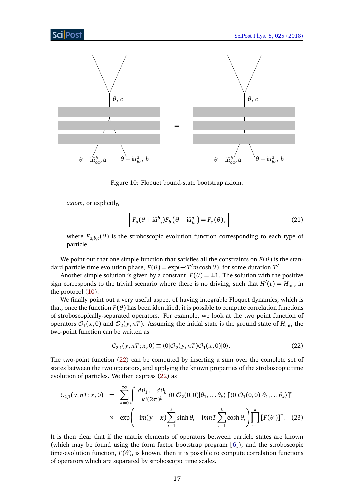<span id="page-16-0"></span>![](_page_16_Figure_2.jpeg)

Figure 10: Floquet bound-state bootstrap axiom.

*axiom*, or explicitly,

$$
F_a(\theta + i\bar{u}_{ca}^b)F_b(\theta - i\bar{u}_{bc}^a) = F_c(\theta),
$$
\n(21)

where  $F_{a,b,c}(\theta)$  is the stroboscopic evolution function corresponding to each type of particle.

We point out that one simple function that satisfies all the constraints on  $F(\theta)$  is the standard particle time evolution phase,  $F(\theta) = \exp(-i T' m \cosh \theta)$ , for some duration  $T'$ .

Another simple solution is given by a constant,  $F(\theta) = \pm 1$ . The solution with the positive sign corresponds to the trivial scenario where there is no driving, such that  $H'(t) = H_{int}$ , in the protocol [\(10\)](#page-10-0).

We finally point out a very useful aspect of having integrable Floquet dynamics, which is that, once the function  $F(\theta)$  has been identified, it is possible to compute correlation functions of stroboscopically-separated operators. For example, we look at the two point function of operators  $\mathcal{O}_1(x,0)$  and  $\mathcal{O}_2(y,nT)$ . Assuming the initial state is the ground state of  $H_{\text{int}}$ , the two-point function can be written as

<span id="page-16-1"></span>
$$
C_{2,1}(y,nT;x,0) \equiv \langle 0|\mathcal{O}_2(y,nT)\mathcal{O}_1(x,0)|0\rangle. \tag{22}
$$

The two-point function [\(22\)](#page-16-1) can be computed by inserting a sum over the complete set of states between the two operators, and applying the known properties of the stroboscopic time evolution of particles. We then express [\(22\)](#page-16-1) as

$$
C_{2,1}(y, nT; x, 0) = \sum_{k=0}^{\infty} \int \frac{d\theta_1 \dots d\theta_k}{k!(2\pi)^k} \langle 0|\mathcal{O}_2(0, 0)|\theta_1, \dots \theta_k\rangle \left[\langle 0|\mathcal{O}_1(0, 0)|\theta_1, \dots \theta_k\rangle\right]^*
$$
  
 
$$
\times \exp\left(-im(y-x)\sum_{i=1}^k \sinh\theta_i - imnT\sum_{i=1}^k \cosh\theta_i\right) \prod_{i=1}^k \left[F(\theta_i)\right]^n. (23)
$$

It is then clear that if the matrix elements of operators between particle states are known (which may be found using the form factor bootstrap program [[6](#page-37-7)]), and the stroboscopic time-evolution function,  $F(\theta)$ , is known, then it is possible to compute correlation functions of operators which are separated by stroboscopic time scales.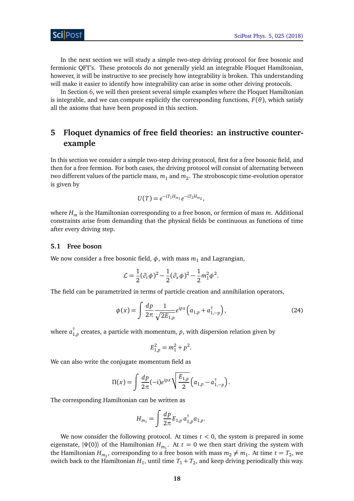In the next section we will study a simple two-step driving protocol for free bosonic and fermionic QFT's. These protocols do not generally yield an integrable Floquet Hamiltonian, however, it will be instructive to see precisely how integrability is broken. This understanding will make it easier to identify how integrability can arise in some other driving protocols.

In Section [6,](#page-24-0) we will then present several simple examples where the Floquet Hamiltonian is integrable, and we can compute explicitly the corresponding functions,  $F(\theta)$ , which satisfy all the axioms that have been proposed in this section.

# <span id="page-17-0"></span>**5 Floquet dynamics of free field theories: an instructive counterexample**

In this section we consider a simple two-step driving protocol, first for a free bosonic field, and then for a free fermion. For both cases, the driving protocol will consist of alternating between two different values of the particle mass,  $m_1$  and  $m_2.$  The stroboscopic time-evolution operator is given by

$$
U(T) = e^{-i T_1 H_{m_1}} e^{-i T_2 H_{m_2}},
$$

where *H<sup>m</sup>* is the Hamiltonian corresponding to a free boson, or fermion of mass *m*. Additional constraints arise from demanding that the physical fields be continuous as functions of time after every driving step.

### <span id="page-17-1"></span>**5.1 Free boson**

We now consider a free bosonic field,  $\phi$ , with mass  $m_1$  and Lagrangian,

$$
\mathcal{L} = \frac{1}{2} (\partial_t \phi)^2 - \frac{1}{2} (\partial_x \phi)^2 - \frac{1}{2} m_1^2 \phi^2.
$$

The field can be parametrized in terms of particle creation and annihilation operators,

$$
\phi(x) = \int \frac{dp}{2\pi} \frac{1}{\sqrt{2E_{1,p}}} e^{ipx} \left( a_{1,p} + a_{1,-p}^{\dagger} \right), \tag{24}
$$

where *a* †  $_{1,p}^{\dagger}$  creates, a particle with momentum,  $p$ , with dispersion relation given by

$$
E_{1,p}^2 = m_1^2 + p^2.
$$

We can also write the conjugate momentum field as

$$
\Pi(x) = \int \frac{dp}{2\pi} (-i) e^{ipx} \sqrt{\frac{E_{1,p}}{2}} (a_{1,p} - a_{1,-p}^{\dagger}).
$$

The corresponding Hamiltonian can be written as

$$
H_{m_1} = \int \frac{dp}{2\pi} E_{1,p} a_{1,p}^{\dagger} a_{1,p}.
$$

We now consider the following protocol. At times  $t < 0$ , the system is prepared in some eigenstate,  $|\Psi(0)\rangle$  of the Hamiltonian  $H_{m_1}$ . At  $t=0$  we then start driving the system with the Hamiltonian  $H_{m_2}$ , corresponding to a free boson with mass  $m_2 \neq m_1$ . At time  $t = T_2$ , we switch back to the Hamiltonian  $H_1$ , until time  $T_1 + T_2$ , and keep driving periodically this way.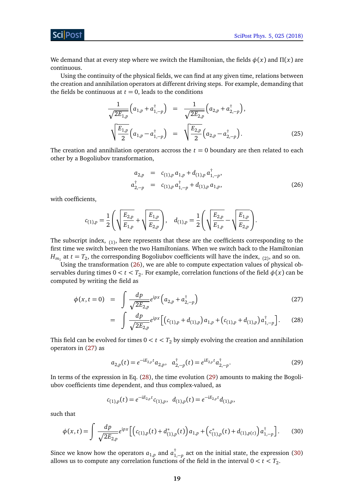[SciPost Phys. 5, 025 \(2018\)](https://scipost.org/SciPostPhys.5.3.025)

ScilPos<sup>.</sup>

We demand that at every step where we switch the Hamiltonian, the fields *φ*(*x*) and *Π*(*x*) are continuous.

Using the continuity of the physical fields, we can find at any given time, relations between the creation and annihilation operators at different driving steps. For example, demanding that the fields be continuous at  $t = 0$ , leads to the conditions

$$
\frac{1}{\sqrt{2E_{1,p}}}\left(a_{1,p}+a_{1,-p}^{\dagger}\right) = \frac{1}{\sqrt{2E_{2,p}}}\left(a_{2,p}+a_{2,-p}^{\dagger}\right),
$$
\n
$$
\sqrt{\frac{E_{1,p}}{2}}\left(a_{1,p}-a_{1,-p}^{\dagger}\right) = \sqrt{\frac{E_{2,p}}{2}}\left(a_{2,p}-a_{2,-p}^{\dagger}\right).
$$
\n(25)

The creation and annihilation operators accross the  $t = 0$  boundary are then related to each other by a Bogoliubov transformation,

<span id="page-18-0"></span>
$$
a_{2,p} = c_{(1),p} a_{1,p} + d_{(1),p} a_{1,-p}^{\dagger},
$$
  
\n
$$
a_{2,-p}^{\dagger} = c_{(1),p} a_{1,-p}^{\dagger} + d_{(1),p} a_{1,p},
$$
\n(26)

with coefficients,

<span id="page-18-1"></span>
$$
c_{(1),p} = \frac{1}{2} \left( \sqrt{\frac{E_{2,p}}{E_{1,p}}} + \sqrt{\frac{E_{1,p}}{E_{2,p}}} \right), \quad d_{(1),p} = \frac{1}{2} \left( \sqrt{\frac{E_{2,p}}{E_{1,p}}} - \sqrt{\frac{E_{1,p}}{E_{2,p}}} \right).
$$

The subscript index,  $_{(1)}$ , here represents that these are the coefficients corresponding to the first time we switch between the two Hamiltonians. When we switch back to the Hamiltonian  $H_{m_1}$  at  $t=T_2$ , the corresponding Bogoliubov coefficients will have the index, <sub>(2)</sub>, and so on.

Using the transformation [\(26\)](#page-18-0), we are able to compute expectation values of physical observables during times  $0 < t < T_2.$  For example, correlation functions of the field  $\phi(x)$  can be computed by writing the field as

$$
\phi(x, t=0) = \int \frac{dp}{\sqrt{2E_{2,p}}} e^{ipx} \left( a_{2,p} + a_{2,-p}^{\dagger} \right)
$$
\n(27)

$$
= \int \frac{dp}{\sqrt{2E_{2,p}}} e^{ipx} \left[ \left( c_{(1),p} + d_{(1),p} \right) a_{1,p} + \left( c_{(1),p} + d_{(1),p} \right) a_{1,-p}^{\dagger} \right]. \tag{28}
$$

This field can be evolved for times  $0 < t < T_2$  by simply evolving the creation and annihilation operators in [\(27\)](#page-18-1) as

<span id="page-18-2"></span>
$$
a_{2,p}(t) = e^{-iE_{2,p}t}a_{2,p}, \quad a_{2,-p}^{\dagger}(t) = e^{iE_{2,p}t}a_{2,-p}^{\dagger}.
$$
 (29)

In terms of the expression in Eq. [\(28\)](#page-18-1), the time evolution [\(29\)](#page-18-2) amounts to making the Bogoliubov coefficients time dependent, and thus complex-valued, as

<span id="page-18-3"></span>
$$
c_{(1),p}(t) = e^{-iE_{2,p}t}c_{(1),p}, d_{(1),p}(t) = e^{-iE_{2,p}t}d_{(1),p},
$$

such that

$$
\phi(x,t) = \int \frac{dp}{\sqrt{2E_{2,p}}} e^{ipx} \left[ \left( c_{(1),p}(t) + d^*_{(1),p}(t) \right) a_{1,p} + \left( c^*_{(1),p}(t) + d_{(1),p(t)} \right) a_{1,-p}^{\dagger} \right]. \tag{30}
$$

Since we know how the operators  $a_{1,p}$  and  $a_{1,-p}^{\dagger}$  act on the initial state, the expression [\(30\)](#page-18-3) allows us to compute any correlation functions of the field in the interval  $0 < t < T_2$ .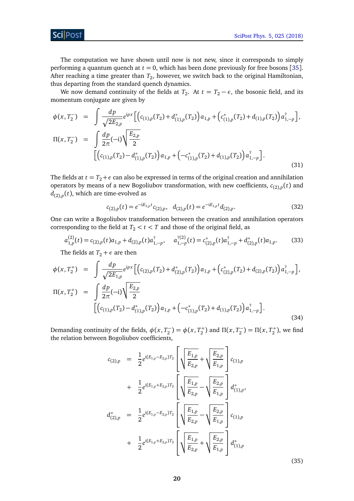**ScilPost** 

The computation we have shown until now is not new, since it corresponds to simply performing a quantum quench at  $t = 0$ , which has been done previously for free bosons [[35](#page-39-8)]. After reaching a time greater than  $T_2$ , however, we switch back to the original Hamiltonian, thus departing from the standard quench dynamics.

We now demand continuity of the fields at  $T_2$ . At  $t = T_2 - \epsilon$ , the bosonic field, and its momentum conjugate are given by

$$
\phi(x, T_2^-) = \int \frac{dp}{\sqrt{2E_{2,p}}} e^{ipx} \Big[ \Big( c_{(1),p}(T_2) + d_{(1),p}^*(T_2) \Big) a_{1,p} + \Big( c_{(1),p}^*(T_2) + d_{(1),p}(T_2) \Big) a_{1,-p}^{\dagger} \Big],
$$
  
\n
$$
\Pi(x, T_2^-) = \int \frac{dp}{2\pi} (-i) \sqrt{\frac{E_{2,p}}{2}} \Big[ \Big( c_{(1),p}(T_2) - d_{(1),p}^*(T_2) \Big) a_{1,p} + \Big( -c_{(1),p}^*(T_2) + d_{(1),p}(T_2) \Big) a_{1,-p}^{\dagger} \Big].
$$
\n
$$
(31)
$$

The fields at  $t = T_2 + \epsilon$  can also be expressed in terms of the original creation and annihilation operators by means of a new Bogoliubov transformation, with new coefficients, *c*(2),*<sup>p</sup>* (*t*) and  $d_{(2),p}(t)$ , which are time-evolved as

<span id="page-19-2"></span>
$$
c_{(2),p}(t) = e^{-iE_{1,p}t}c_{(2),p}, \quad d_{(2),p}(t) = e^{-iE_{1,p}t}d_{(2),p}.
$$
\n(32)

One can write a Bogoliubov transformation between the creation and annihilation operators corresponding to the field at  $T_2 < t < T$  and those of the original field, as

$$
a_{1,p}^{(2)}(t) = c_{(2),p}(t)a_{1,p} + d_{(2),p}(t)a_{1,-p}^{\dagger}, \quad a_{1,-p}^{\dagger(2)}(t) = c_{(2),p}^*(t)a_{1,-p}^{\dagger} + d_{(2),p}^*(t)a_{1,p}.
$$
 (33)

The fields at  $T_2 + \epsilon$  are then

<span id="page-19-1"></span>
$$
\phi(x, T_2^+) = \int \frac{dp}{\sqrt{2E_{1,p}}} e^{ipx} \Big[ \Big( c_{(2),p}(T_2) + d_{(2),p}^*(T_2) \Big) a_{1,p} + \Big( c_{(2),p}^*(T_2) + d_{(2),p}(T_2) \Big) a_{1,-p}^{\dagger} \Big],
$$
  
\n
$$
\Pi(x, T_2^+) = \int \frac{dp}{2\pi} (-i) \sqrt{\frac{E_{2,p}}{2}} \Big[ \Big( c_{(1),p}(T_2) - d_{(1),p}^*(T_2) \Big) a_{1,p} + \Big( -c_{(1),p}^*(T_2) + d_{(1),p}(T_2) \Big) a_{1,-p}^{\dagger} \Big].
$$
\n
$$
(34)
$$

Demanding continuity of the fields,  $\phi(x, T_2^-)$  $\Gamma_2^{-}$ ) =  $\phi(x, T_2^+)$  and  $\Pi(x, T_2^-)$  $T_2^-$ ) =  $\Pi(x, T_2^+)$ , we find the relation between Bogoliubov coefficients,

<span id="page-19-0"></span>
$$
c_{(2),p} = \frac{1}{2} e^{i(E_{1,p} - E_{2,p})T_2} \left[ \sqrt{\frac{E_{1,p}}{E_{2,p}}} + \sqrt{\frac{E_{2,p}}{E_{1,p}}} \right] c_{(1),p}
$$
  
+ 
$$
\frac{1}{2} e^{i(E_{1,p} + E_{2,p})T_2} \left[ \sqrt{\frac{E_{1,p}}{E_{2,p}}} - \sqrt{\frac{E_{2,p}}{E_{1,p}}} \right] d_{(1),p}^*,
$$
  

$$
d_{(2),p}^* = \frac{1}{2} e^{i(E_{1,p} - E_{2,p})T_2} \left[ \sqrt{\frac{E_{1,p}}{E_{2,p}}} - \sqrt{\frac{E_{2,p}}{E_{1,p}}} \right] c_{(1),p}
$$
  
+ 
$$
\frac{1}{2} e^{i(E_{1,p} + E_{2,p})T_2} \left[ \sqrt{\frac{E_{1,p}}{E_{2,p}}} + \sqrt{\frac{E_{2,p}}{E_{1,p}}} \right] d_{(1),p}^*
$$

(35)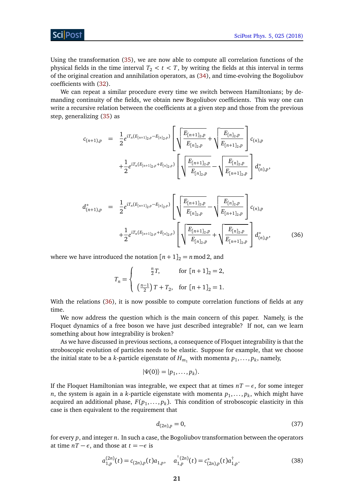Sci Post

Using the transformation [\(35\)](#page-19-0), we are now able to compute all correlation functions of the physical fields in the time interval  $T_2 < t < T$ , by writing the fields at this interval in terms of the original creation and annihilation operators, as [\(34\)](#page-19-1), and time-evolving the Bogoliubov coefficients with [\(32\)](#page-19-2).

We can repeat a similar procedure every time we switch between Hamiltonians; by demanding continuity of the fields, we obtain new Bogoliubov coefficients. This way one can write a recursive relation between the coefficients at a given step and those from the previous step, generalizing [\(35\)](#page-19-0) as

<span id="page-20-0"></span>
$$
c_{(n+1),p} = \frac{1}{2} e^{i T_n (E_{[n+1]_2,p} - E_{[n]_2,p})} \left[ \sqrt{\frac{E_{[n+1]_2,p}}{E_{[n]_2,p}}} + \sqrt{\frac{E_{[n]_2,p}}{E_{[n+1]_2,p}}} \right] c_{(n),p} + \frac{1}{2} e^{i T_n (E_{[n+1]_2,p} + E_{[n]_2,p})} \left[ \sqrt{\frac{E_{[n+1]_2,p}}{E_{[n]_2,p}}} - \sqrt{\frac{E_{[n]_2,p}}{E_{[n+1]_2,p}}} \right] d_{(n),p}^*,
$$

$$
d_{(n+1),p}^{*} = \frac{1}{2} e^{i T_n (E_{[n+1]_2, p} - E_{[n]_2, p})} \left[ \sqrt{\frac{E_{[n+1]_2, p}}{E_{[n]_2, p}}} - \sqrt{\frac{E_{[n]_2, p}}{E_{[n+1]_2, p}}} \right] c_{(n),p}
$$
  
+ 
$$
\frac{1}{2} e^{i T_n (E_{[n+1]_2, p} + E_{[n]_2, p})} \left[ \sqrt{\frac{E_{[n+1]_2, p}}{E_{[n]_2, p}}} + \sqrt{\frac{E_{[n]_2, p}}{E_{[n+1]_2, p}}} \right] d_{(n),p}^{*},
$$
(36)

where we have introduced the notation  $[n+1]_2 = n \mod 2$ , and

<span id="page-20-1"></span>
$$
T_n = \begin{cases} \frac{n}{2}T, & \text{for } [n+1]_2 = 2, \\ \left(\frac{n-1}{2}\right)T + T_2, & \text{for } [n+1]_2 = 1. \end{cases}
$$

With the relations [\(36\)](#page-20-0), it is now possible to compute correlation functions of fields at any time.

We now address the question which is the main concern of this paper. Namely, is the Floquet dynamics of a free boson we have just described integrable? If not, can we learn something about how integrability is broken?

As we have discussed in previous sections, a consequence of Floquet integrability is that the stroboscopic evolution of particles needs to be elastic. Suppose for example, that we choose the initial state to be a *k*-particle eigenstate of  $H_{m_1}$  with momenta  $p_1,\ldots,p_k$ , namely,

$$
|\Psi(0)\rangle=|p_1,\ldots,p_k\rangle.
$$

If the Floquet Hamiltonian was integrable, we expect that at times  $nT - \epsilon$ , for some integer  $n$ , the system is again in a *k*-particle eigenstate with momenta  $p_1, \ldots, p_k$ , which might have acquired an additional phase,  $F(p_1, \ldots, p_k)$ . This condition of stroboscopic elasticity in this case is then equivalent to the requirement that

$$
d_{(2n),p} = 0,\t\t(37)
$$

for every *p*, and integer *n*. In such a case, the Bogoliubov transformation between the operators at time  $nT - \epsilon$ , and those at  $t = -\epsilon$  is

$$
a_{1,p}^{(2n)}(t) = c_{(2n),p}(t)a_{1,p}, \quad a_{1,p}^{\dagger(2n)}(t) = c_{(2n),p}^*(t)a_{1,p}^{\dagger}.
$$
 (38)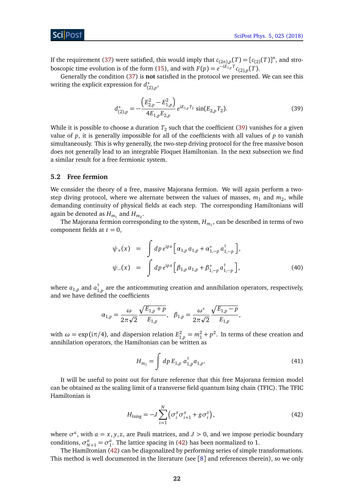If the requirement [\(37\)](#page-20-1) were satisfied, this would imply that  $c_{(2n),p}(T) = [c_{(2)}(T)]^n$ , and stro-boscopic time evolution is of the form [\(15\)](#page-12-1), and with  $F(p) = e^{-i\hat{E}_{1,p}^T T} c_{(2),p}(T)$ .

Generally the condition [\(37\)](#page-20-1) is **not** satisfied in the protocol we presented. We can see this writing the explicit expression for *d* ∗ (2),*p* ,

<span id="page-21-1"></span>
$$
d_{(2),p}^* = -\frac{\left(E_{2,p}^2 - E_{1,p}^2\right)}{4E_{1,p}E_{2,p}} e^{iE_{1,p}T_2} \sin(E_{2,p}T_2). \tag{39}
$$

While it is possible to choose a duration  $T_{2}$  such that the coefficient [\(39\)](#page-21-1) vanishes for a given value of *p*, it is generally impossible for all of the coefficients with all values of *p* to vanish simultaneously. This is why generally, the two-step driving protocol for the free massive boson does not generally lead to an integrable Floquet Hamiltonian. In the next subsection we find a similar result for a free fermionic system.

#### <span id="page-21-0"></span>**5.2 Free fermion**

We consider the theory of a free, massive Majorana fermion. We will again perform a twostep diving protocol, where we alternate between the values of masses,  $m_1$  and  $m_2$ , while demanding continuity of physical fields at each step. The corresponding Hamiltonians will again be denoted as  $H_{m_1}$  and  $H_{m_2}$ .

The Majorana fermion corresponding to the system,  $H_{m_1}$ , can be described in terms of two component fields at  $t = 0$ ,

$$
\psi_{+}(x) = \int dp \, e^{ipx} \Big[ \alpha_{1,p} \, \alpha_{1,p} + \alpha_{1,-p}^{*} \, \alpha_{1,-p}^{\dagger} \Big],
$$
  
\n
$$
\psi_{-}(x) = \int dp \, e^{ipx} \Big[ \beta_{1,p} \, \alpha_{1,p} + \beta_{1,-p}^{*} \, \alpha_{1,-p}^{\dagger} \Big],
$$
\n(40)

where  $a_{1,p}^{\phantom{\dag}}$  and  $a_1^\dag$  $_{1,p}^{+}$  are the anticommuting creation and annihilation operators, respectively, and we have defined the coefficients

<span id="page-21-3"></span>
$$
\alpha_{1,p} = \frac{\omega}{2\pi\sqrt{2}} \frac{\sqrt{E_{1,p} + p}}{E_{1,p}}, \quad \beta_{1,p} = \frac{\omega^*}{2\pi\sqrt{2}} \frac{\sqrt{E_{1,p} - p}}{E_{1,p}},
$$

with  $\omega = \exp(i\pi/4)$ , and dispersion relation  $E_{1,p}^2 = m_1^2 + p^2$ . In terms of these creation and annihilation operators, the Hamiltonian can be written as

$$
H_{m_1} = \int dp E_{1,p} a_{1,p}^{\dagger} a_{1,p}.
$$
 (41)

It will be useful to point out for future reference that this free Majorana fermion model can be obtained as the scaling limit of a transverse field quantum Ising chain (TFIC). The TFIC Hamiltonian is

<span id="page-21-2"></span>
$$
H_{\text{Ising}} = -J\sum_{i=1}^{N} \left(\sigma_i^x \sigma_{i+1}^x + g \sigma_i^z\right),\tag{42}
$$

where  $\sigma^a$ , with  $a = x, y, z$ , are Pauli matrices, and  $J > 0$ , and we impose periodic boundary conditions,  $\sigma_{N+1}^a = \sigma_1^a$ . The lattice spacing in [\(42\)](#page-21-2) has been normalized to 1.

The Hamiltonian [\(42\)](#page-21-2) can be diagonalized by performing series of simple transformations. This method is well documented in the literature (see [[8](#page-37-5)] and references therein), so we only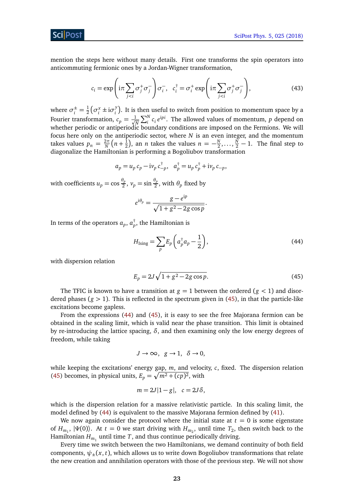mention the steps here without many details. First one transforms the spin operators into anticommuting fermionic ones by a Jordan-Wigner transformation,

<span id="page-22-3"></span>
$$
c_i = \exp\left(i\pi \sum_{j < i} \sigma_j^+ \sigma_j^- \right) \sigma_i^-, \quad c_i^\dagger = \sigma_i^+ \exp\left(i\pi \sum_{j < i} \sigma_j^+ \sigma_j^- \right), \tag{43}
$$

where  $\sigma_i^{\pm} = \frac{1}{2} \left( \sigma_i^x \pm i \sigma_i^y \right)$ . It is then useful to switch from position to momentum space by a  $2 \left( v_i + w_i \right)$ Fourier transformation,  $c_p = \frac{1}{\sqrt{p}}$  $\frac{1}{N} \sum_{i}^{N} c_i e^{ipi}$ . The allowed values of momentum, *p* depend on whether periodic or antiperiodic boundary conditions are imposed on the Fermions. We will focus here only on the antiperiodic sector, where *N* is an even integer, and the momentum takes values  $p_n = \frac{2\pi}{N}$  $\frac{2\pi}{N}(n+\frac{1}{2})$  $(\frac{1}{2})$ , an *n* takes the values  $n = -\frac{N}{2}$  $\frac{N}{2}, \ldots, \frac{N}{2} - 1$ . The final step to diagonalize the Hamiltonian is performing a Bogoliubov transformation

<span id="page-22-1"></span>
$$
a_p = u_p c_p - i v_p c_{-p}^{\dagger}, \quad a_p^{\dagger} = u_p c_p^{\dagger} + i v_p c_{-p},
$$

with coefficients  $u_p = \cos \frac{\theta_p}{2}$  $\frac{\theta_p}{2}$ ,  $v_p = \sin \frac{\theta_p}{2}$ , with  $\theta_p$  fixed by

$$
e^{i\theta_p} = \frac{g - e^{ip}}{\sqrt{1 + g^2 - 2g\cos p}}
$$

In terms of the operators  $a_p,$   $a_p^\dagger,$  the Hamiltonian is

$$
H_{\text{Ising}} = \sum_{p} E_p \left( a_p^{\dagger} a_p - \frac{1}{2} \right),\tag{44}
$$

.

with dispersion relation

<span id="page-22-0"></span>
$$
E_p = 2J\sqrt{1 + g^2 - 2g\cos p}.
$$
 (45)

The TFIC is known to have a transition at  $g = 1$  between the ordered ( $g < 1$ ) and disordered phases ( $g > 1$ ). This is reflected in the spectrum given in [\(45\)](#page-22-0), in that the particle-like excitations become gapless.

From the expressions [\(44\)](#page-22-1) and [\(45\)](#page-22-0), it is easy to see the free Majorana fermion can be obtained in the scaling limit, which is valid near the phase transition. This limit is obtained by re-introducing the lattice spacing,  $\delta$ , and then examining only the low energy degrees of freedom, while taking

<span id="page-22-2"></span>
$$
J \to \infty, \ \ g \to 1, \ \ \delta \to 0,
$$

while keeping the excitations' energy gap, *m*, and velocity, *c*, fixed. The dispersion relation [\(45\)](#page-22-0) becomes, in physical units,  $E_p = \sqrt{m^2 + (cp)^2}$ , with

$$
m=2J|1-g|, c=2J\delta,
$$

which is the dispersion relation for a massive relativistic particle. In this scaling limit, the model defined by [\(44\)](#page-22-1) is equivalent to the massive Majorana fermion defined by [\(41\)](#page-21-3).

We now again consider the protocol where the initial state at  $t = 0$  is some eigenstate of  $H_{m_1}$ ,  $|\Psi(0)\rangle$ . At  $t = 0$  we start driving with  $H_{m_2}$ , until time  $T_2$ , then switch back to the Hamiltonian  $H_{m_1}$  until time  $T$ , and thus continue periodically driving.

Every time we switch between the two Hamiltonians, we demand continuity of both field components,  $\psi_{\pm}(x, t)$ , which allows us to write down Bogoliubov transformations that relate the new creation and annihilation operators with those of the previous step. We will not show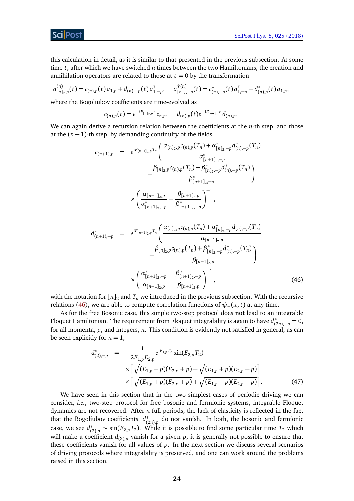this calculation in detail, as it is similar to that presented in the previous subsection. At some time *t*, after which we have switched *n* times between the two Hamiltonians, the creation and annihilation operators are related to those at  $t = 0$  by the transformation

$$
a_{[n]_2,p}^{(n)}(t) = c_{(n),p}(t) a_{1,p} + d_{(n),-p}(t) a_{1,-p}^{\dagger}, \quad a_{[n]_2,-p}^{\dagger(n)}(t) = c_{(n),-p}^*(t) a_{1,-p}^{\dagger} + d_{(n),p}^*(t) a_{1,p},
$$

where the Bogoliubov coefficients are time-evolved as

$$
c_{(n),p}(t) = e^{-iE_{[n]_2,p}t}c_{n,p}, \quad d_{(n),p}(t)e^{-iE_{[n_2],p}t}d_{(n),p}.
$$

We can again derive a recursion relation between the coefficients at the *n*-th step, and those at the  $(n - 1)$ -th step, by demanding continuity of the fields

$$
c_{(n+1),p} = e^{iE_{[n+1]_2,p}T_n} \left( \frac{\alpha_{[n]_2,p}c_{(n),p}(T_n) + \alpha_{[n]_2,-p}^* d_{(n),-p}^*(T_n)}{\alpha_{[n+1]_2,-p}^*} - \frac{\beta_{[n]_2,p}c_{(n),p}(T_n) + \beta_{[n]_2,-p}^* d_{(n),-p}^*(T_n)}{\beta_{[n+1]_2,-p}^*} \right)
$$

$$
\times \left( \frac{\alpha_{[n+1]_2,p}}{\alpha_{[n+1]_2,-p}^*} - \frac{\beta_{[n+1]_2,p}}{\beta_{[n+1]_2,-p}^*} \right)^{-1},
$$

$$
d_{(n+1),-p}^{*} = e^{iE_{[n+1]_2,p}T_n} \left( \frac{\alpha_{[n]_2,p}c_{(n),p}(T_n) + \alpha_{[n]_2,-p}^{*}d_{(n),-p}(T_n)}{\alpha_{[n+1]_2,p}} - \frac{\beta_{[n]_2,p}c_{(n),p}(T_n) + \beta_{[n]_2,-p}^{*}d_{(n),-p}^{*}(T_n)}{\beta_{[n+1]_2,p}} \right)
$$

$$
\times \left( \frac{\alpha_{[n+1]_2,-p}^{*}}{\alpha_{[n+1]_2,p}} - \frac{\beta_{[n+1]_2,-p}^{*}}{\beta_{[n+1]_2,p}} \right)^{-1}, \tag{46}
$$

with the notation for  $[n]_2$  and  $T_n$  we introduced in the previous subsection. With the recursive relations [\(46\)](#page-22-2), we are able to compute correlation functions of  $\psi_{+}(x, t)$  at any time.

As for the free Bosonic case, this simple two-step protocol does **not** lead to an integrable Floquet Hamiltonian. The requirement from Floquet integrability is again to have *d* ∗  $\chi^*_{(2n),-p} = 0,$ for all momenta, *p*, and integers, *n*. This condition is evidently not satisfied in general, as can be seen explicitly for  $n = 1$ ,

<span id="page-23-0"></span>
$$
d_{(2),-p}^{*} = -\frac{i}{2E_{1,p}E_{2,p}}e^{iE_{1,p}T_{2}}\sin(E_{2,p}T_{2})
$$
  
 
$$
\times \left[\sqrt{(E_{1,p}-p)(E_{2,p}+p)}-\sqrt{(E_{1,p}+p)(E_{2,p}-p)}\right]
$$
  
 
$$
\times \left[\sqrt{(E_{1,p}+p)(E_{2,p}+p)}+\sqrt{(E_{1,p}-p)(E_{2,p}-p)}\right].
$$
 (47)

We have seen in this section that in the two simplest cases of periodic driving we can consider, *i.e.*, two-step protocol for free bosonic and fermionic systems, integrable Floquet dynamics are not recovered. After *n* full periods, the lack of elasticity is reflected in the fact that the Bogoliubov coefficients, *d* ∗ (2*n*),*p* do not vanish. In both, the bosonic and fermionic case, we see *d* ∗  $C_{(2),p}^*$  ∼ sin( $E_{2,p}T_2$ ). While it is possible to find some particular time  $T_2$  which will make a coefficient  $d_{(2),p}$  vanish for a given  $p$ , it is generally not possible to ensure that these coefficients vanish for all values of *p*. In the next section we discuss several scenarios of driving protocols where integrability is preserved, and one can work around the problems raised in this section.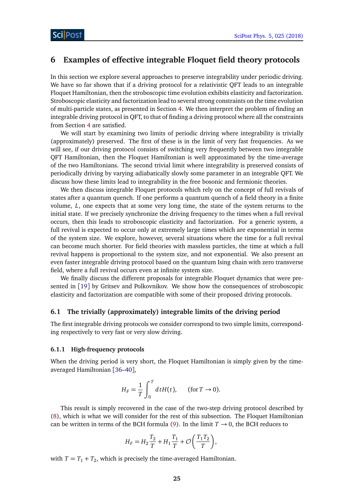## <span id="page-24-0"></span>**6 Examples of effective integrable Floquet field theory protocols**

In this section we explore several approaches to preserve integrability under periodic driving. We have so far shown that if a driving protocol for a relativistic QFT leads to an integrable Floquet Hamiltonian, then the stroboscopic time evolution exhibits elasticity and factorization. Stroboscopic elasticity and factorization lead to several strong constraints on the time evolution of multi-particle states, as presented in Section [4.](#page-11-0) We then interpret the problem of finding an integrable driving protocol in QFT, to that of finding a driving protocol where all the constraints from Section [4](#page-11-0) are satisfied.

We will start by examining two limits of periodic driving where integrability is trivially (approximately) preserved. The first of these is in the limit of very fast frequencies. As we will see, if our driving protocol consists of switching very frequently between two integrable QFT Hamiltonian, then the Floquet Hamiltonian is well approximated by the time-average of the two Hamiltonians. The second trivial limit where integrability is preserved consists of periodically driving by varying adiabatically slowly some parameter in an integrable QFT. We discuss how these limits lead to integrability in the free bosonic and fermionic theories.

We then discuss integrable Floquet protocols which rely on the concept of full revivals of states after a quantum quench. If one performs a quantum quench of a field theory in a finite volume, *L*, one expects that at some very long time, the state of the system returns to the initial state. If we precisely synchronize the driving frequency to the times when a full revival occurs, then this leads to stroboscopic elasticity and factorization. For a generic system, a full revival is expected to occur only at extremely large times which are exponential in terms of the system size. We explore, however, several situations where the time for a full revival can become much shorter. For field theories with massless particles, the time at which a full revival happens is proportional to the system size, and not exponential. We also present an even faster integrable driving protocol based on the quantum Ising chain with zero transverse field, where a full revival occurs even at infinite system size.

We finally discuss the different proposals for integrable Floquet dynamics that were presented in [[19](#page-38-5)] by Gritsev and Polkovnikov. We show how the consequences of stroboscopic elasticity and factorization are compatible with some of their proposed driving protocols.

#### <span id="page-24-1"></span>**6.1 The trivially (approximately) integrable limits of the driving period**

The first integrable driving protocols we consider correspond to two simple limits, corresponding respectively to very fast or very slow driving.

#### <span id="page-24-2"></span>**6.1.1 High-frequency protocols**

When the driving period is very short, the Floquet Hamiltonian is simply given by the timeaveraged Hamiltonian [[36–](#page-39-9)[40](#page-39-10)],

<span id="page-24-3"></span>
$$
H_F = \frac{1}{T} \int_0^T dt H(t), \quad \text{(for } T \to 0).
$$

This result is simply recovered in the case of the two-step driving protocol described by [\(8\)](#page-8-3), which is what we will consider for the rest of this subsection. The Floquet Hamiltonian can be written in terms of the BCH formula [\(9\)](#page-9-0). In the limit  $T \rightarrow 0$ , the BCH reduces to

$$
H_F = H_2 \frac{T_2}{T} + H_1 \frac{T_1}{T} + \mathcal{O}\left(\frac{T_1 T_2}{T}\right),
$$

with  $T = T_1 + T_2$ , which is precisely the time-averaged Hamiltonian.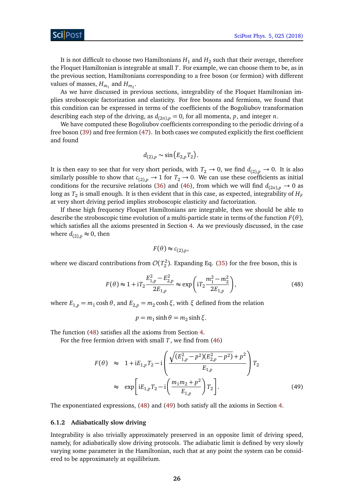It is not difficult to choose two Hamiltonians  $H_1$  and  $H_2$  such that their average, therefore the Floquet Hamiltonian is integrable at small *T*. For example, we can choose them to be, as in the previous section, Hamiltonians corresponding to a free boson (or fermion) with different values of masses,  $H_{m_1}$  and  $H_{m_2}$ .

As we have discussed in previous sections, integrability of the Floquet Hamiltonian implies stroboscopic factorization and elasticity. For free bosons and fermions, we found that this condition can be expressed in terms of the coefficients of the Bogoliubov transformation describing each step of the driving, as  $d_{(2n),p} = 0$ , for all momenta, p, and integer *n*.

We have computed these Bogoliubov coefficients corresponding to the periodic driving of a free boson [\(39\)](#page-21-1) and free fermion [\(47\)](#page-23-0). In both cases we computed explicitly the first coefficient and found

$$
d_{(2),p}\sim\sin\left(E_{2,p}T_2\right).
$$

It is then easy to see that for very short periods, with  $T_2 \to 0$ , we find  $d_{(2),p} \to 0$ . It is also similarly possible to show that  $c_{(2),p} \to 1$  for  $T_2 \to 0$ . We can use these coefficients as initial conditions for the recursive relations [\(36\)](#page-20-0) and [\(46\)](#page-22-2), from which we will find  $d_{(2n),p} \rightarrow 0$  as long as  $T_2$  is small enough. It is then evident that in this case, as expected, integrability of  $H_F$ at very short driving period implies stroboscopic elasticity and factorization.

If these high frequency Floquet Hamiltonians are integrable, then we should be able to describe the stroboscopic time evolution of a multi-particle state in terms of the function  $F(\theta)$ , which satisfies all the axioms presented in Section [4.](#page-11-0) As we previously discussed, in the case where  $d_{(2),p} \approx 0$ , then

$$
F(\theta) \approx c_{(2),p},
$$

where we discard contributions from  $\mathcal{O}(T_2^2)$ . Expanding Eq. [\(35\)](#page-19-0) for the free boson, this is

$$
F(\theta) \approx 1 + i T_2 \frac{E_{1,p}^2 - E_{2,p}^2}{2E_{1,p}} \approx \exp\left(i T_2 \frac{m_1^2 - m_2^2}{2E_{1,p}}\right),\tag{48}
$$

where  $E_{1,p} = m_1 \cosh \theta$ , and  $E_{2,p} = m_2 \cosh \xi$ , with  $\xi$  defined from the relation

<span id="page-25-1"></span>
$$
p = m_1 \sinh \theta = m_2 \sinh \xi.
$$

The function [\(48\)](#page-24-3) satisfies all the axioms from Section [4.](#page-11-0)

For the free fermion driven with small *T*, we find from [\(46\)](#page-22-2)

$$
F(\theta) \approx 1 + iE_{1,p}T_2 - i \left( \frac{\sqrt{(E_{1,p}^2 - p^2)(E_{2,p}^2 - p^2)} + p^2}{E_{1,p}} \right) T_2
$$
  
 
$$
\approx \exp \left[ iE_{1,p}T_2 - i \left( \frac{m_1m_2 + p^2}{E_{1,p}} \right) T_2 \right].
$$
 (49)

The exponentiated expressions, [\(48\)](#page-24-3) and [\(49\)](#page-25-1) both satisfy all the axioms in Section [4.](#page-11-0)

#### <span id="page-25-0"></span>**6.1.2 Adiabatically slow driving**

Integrability is also trivially approximately preserved in an opposite limit of driving speed, namely, for adiabatically slow driving protocols. The adiabatic limit is defined by very slowly varying some parameter in the Hamiltonian, such that at any point the system can be considered to be approximately at equilibrium.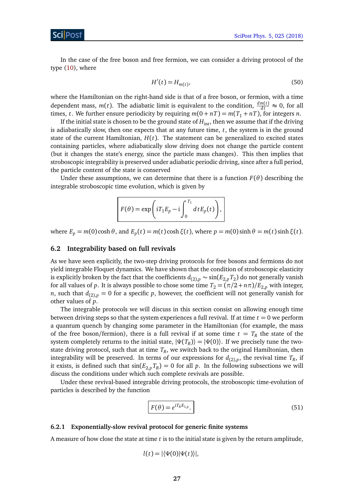In the case of the free boson and free fermion, we can consider a driving protocol of the type [\(10\)](#page-10-0), where

$$
H'(t) = H_{m(t)},\tag{50}
$$

where the Hamiltonian on the right-hand side is that of a free boson, or fermion, with a time dependent mass,  $m(t)$ . The adiabatic limit is equivalent to the condition,  $\frac{dm(t)}{dt} \approx 0$ , for all times, *t*. We further ensure periodicity by requiring  $m(0 + nT) = m(T_1 + nT)$ , for integers *n*.

If the initial state is chosen to be the ground state of  $H_{\text{int}}$ , then we assume that if the driving is adiabatically slow, then one expects that at any future time, *t*, the system is in the ground state of the current Hamiltonian,  $H(t)$ . The statement can be generalized to excited states containing particles, where adiabatically slow driving does not change the particle content (but it changes the state's energy, since the particle mass changes). This then implies that stroboscopic integrability is preserved under adiabatic periodic driving, since after a full period, the particle content of the state is conserved

Under these assumptions, we can determine that there is a function  $F(\theta)$  describing the integrable stroboscopic time evolution, which is given by

<span id="page-26-2"></span>
$$
F(\theta) = \exp\left(iT_1E_p - i\int_0^{T_1} dt E_p(t)\right),
$$

 $\mathbf{w}$  here  $E_p = m(0) \cosh \theta$ , and  $E_p(t) = m(t) \cosh \xi(t)$ , where  $p = m(0) \sinh \theta = m(t) \sinh \xi(t)$ .

#### <span id="page-26-0"></span>**6.2 Integrability based on full revivals**

As we have seen explicitly, the two-step driving protocols for free bosons and fermions do not yield integrable Floquet dynamics. We have shown that the condition of stroboscopic elasticity is explicitly broken by the fact that the coefficients  $d_{(2),p} \sim \sin(E_{2,p} T_2)$  do not generally vanish for all values of *p*. It is always possible to chose some time  $T_2 = (\pi/2 + n\pi)/E_{2,p}$  with integer, *n*, such that  $d_{(2),p} = 0$  for a specific *p*, however, the coefficient will not generally vanish for other values of *p*.

The integrable protocols we will discuss in this section consist on allowing enough time between driving steps so that the system experiences a full revival. If at time  $t = 0$  we perform a quantum quench by changing some parameter in the Hamiltonian (for example, the mass of the free boson/fermion), there is a full revival if at some time  $t = T_R$  the state of the system completely returns to the initial state,  $|\Psi(T_R)\rangle = |\Psi(0)\rangle$ . If we precisely tune the twostate driving protocol, such that at time  $T_R$ , we switch back to the original Hamiltonian, then integrability will be preserved. In terms of our expressions for  $d_{(2),p}$ , the revival time  $T_R$ , if it exists, is defined such that  $\sin(E_{2,p}T_R)=0$  for all  $p.$  In the following subsections we will discuss the conditions under which such complete revivals are possible.

Under these revival-based integrable driving protocols, the stroboscopic time-evolution of particles is described by the function

$$
F(\theta) = e^{i T_R E_{1,p}}.
$$
\n(51)

#### <span id="page-26-1"></span>**6.2.1 Exponentially-slow revival protocol for generic finite systems**

A measure of how close the state at time *t* is to the initial state is given by the return amplitude,

<span id="page-26-3"></span>
$$
l(t)=|\langle \Psi(0)|\Psi(t)\rangle|,
$$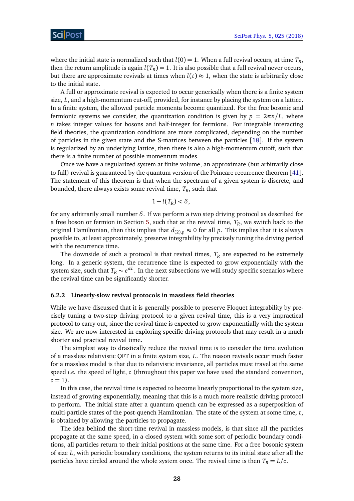where the initial state is normalized such that  $l(0) = 1$ . When a full revival occurs, at time  $T_R$ , then the return amplitude is again  $l(T_R)=1.$  It is also possible that a full revival never occurs, but there are approximate revivals at times when  $l(t) \approx 1$ , when the state is arbitrarily close to the initial state.

A full or approximate revival is expected to occur generically when there is a finite system size, *L*, and a high-momentum cut-off, provided, for instance by placing the system on a lattice. In a finite system, the allowed particle momenta become quantized. For the free bosonic and fermionic systems we consider, the quantization condition is given by  $p = 2\pi n/L$ , where *n* takes integer values for bosons and half-integer for fermions. For integrable interacting field theories, the quantization conditions are more complicated, depending on the number of particles in the given state and the S-matrices between the particles [[18](#page-38-4)]. If the system is regularized by an underlying lattice, then there is also a high-momentum cutoff, such that there is a finite number of possible momentum modes.

Once we have a regularized system at finite volume, an approximate (but arbitrarily close to full) revival is guaranteed by the quantum version of the Poincare recurrence theorem [[41](#page-39-11)]. The statement of this theorem is that when the spectrum of a given system is discrete, and bounded, there always exists some revival time, *T<sup>R</sup>* , such that

$$
1-l(T_R)<\delta,
$$

for any arbitrarily small number *δ*. If we perform a two step driving protocol as described for a free boson or fermion in Section [5,](#page-17-0) such that at the revival time, *T<sup>R</sup>* , we switch back to the original Hamiltonian, then this implies that  $d_{(2),p} \approx 0$  for all p. This implies that it is always possible to, at least approximately, preserve integrability by precisely tuning the driving period with the recurrence time.

The downside of such a protocol is that revival times,  $T_R$  are expected to be extremely long. In a generic system, the recurrence time is expected to grow exponentially with the system size, such that  $T_R \thicksim e^{\alpha L}$ . In the next subsections we will study specific scenarios where the revival time can be significantly shorter.

#### <span id="page-27-0"></span>**6.2.2 Linearly-slow revival protocols in massless field theories**

While we have discussed that it is generally possible to preserve Floquet integrability by precisely tuning a two-step driving protocol to a given revival time, this is a very impractical protocol to carry out, since the revival time is expected to grow exponentially with the system size. We are now interested in exploring specific driving protocols that may result in a much shorter and practical revival time.

The simplest way to drastically reduce the revival time is to consider the time evolution of a massless relativistic QFT in a finite system size, *L*. The reason revivals occur much faster for a massless model is that due to relativistic invariance, all particles must travel at the same speed *i.e.* the speed of light, *c* (throughout this paper we have used the standard convention,  $c = 1$ ).

In this case, the revival time is expected to become linearly proportional to the system size, instead of growing exponentially, meaning that this is a much more realistic driving protocol to perform. The initial state after a quantum quench can be expressed as a superposition of multi-particle states of the post-quench Hamiltonian. The state of the system at some time, *t*, is obtained by allowing the particles to propagate.

The idea behind the short-time revival in massless models, is that since all the particles propagate at the same speed, in a closed system with some sort of periodic boundary conditions, all particles return to their initial positions at the same time. For a free bosonic system of size *L*, with periodic boundary conditions, the system returns to its initial state after all the particles have circled around the whole system once. The revival time is then  $T_R = L/c$ .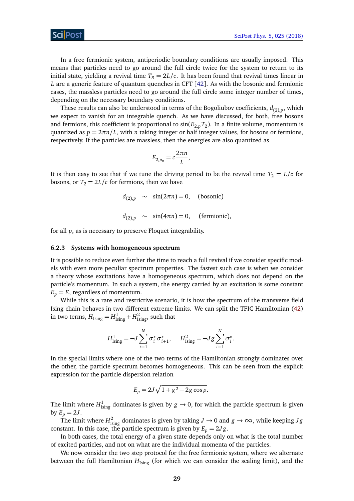In a free fermionic system, antiperiodic boundary conditions are usually imposed. This means that particles need to go around the full circle twice for the system to return to its initial state, yielding a revival time  $T_R = 2L/c$ . It has been found that revival times linear in *L* are a generic feature of quantum quenches in CFT [[42](#page-39-12)]. As with the bosonic and fermionic cases, the massless particles need to go around the full circle some integer number of times, depending on the necessary boundary conditions.

These results can also be understood in terms of the Bogoliubov coefficients, *d*(2),*<sup>p</sup>* , which we expect to vanish for an integrable quench. As we have discussed, for both, free bosons and fermions, this coefficient is proportional to  $\sin(E_{2,p} T_{2})$ . In a finite volume, momentum is quantized as  $p = 2\pi n/L$ , with *n* taking integer or half integer values, for bosons or fermions, respectively. If the particles are massless, then the energies are also quantized as

$$
E_{2,p_n}=c\frac{2\pi n}{L},
$$

It is then easy to see that if we tune the driving period to be the revival time  $T_2 = L/c$  for bosons, or  $T_2 = 2L/c$  for fermions, then we have

$$
d_{(2),p} \sim \sin(2\pi n) = 0, \quad \text{(bosonic)}
$$
  

$$
d_{(2),p} \sim \sin(4\pi n) = 0, \quad \text{(fermionic)}
$$

for all *p*, as is necessary to preserve Floquet integrability.

#### <span id="page-28-0"></span>**6.2.3 Systems with homogeneous spectrum**

It is possible to reduce even further the time to reach a full revival if we consider specific models with even more peculiar spectrum properties. The fastest such case is when we consider a theory whose excitations have a homogeneous spectrum, which does not depend on the particle's momentum. In such a system, the energy carried by an excitation is some constant  $E_p = E$ , regardless of momentum.

While this is a rare and restrictive scenario, it is how the spectrum of the transverse field Ising chain behaves in two different extreme limits. We can split the TFIC Hamiltonian [\(42\)](#page-21-2) in two terms,  $H_{\text{Ising}} = H_{\text{Ising}}^1 + H_{\text{Ising}}^2$ , such that

$$
H_{\text{Ising}}^1 = -J \sum_{i=1}^N \sigma_i^x \sigma_{i+1}^x, \quad H_{\text{Ising}}^2 = -J g \sum_{i=1}^N \sigma_i^z.
$$

In the special limits where one of the two terms of the Hamiltonian strongly dominates over the other, the particle spectrum becomes homogeneous. This can be seen from the explicit expression for the particle dispersion relation

$$
E_p = 2J\sqrt{1 + g^2 - 2g\cos p}.
$$

The limit where  $H^1_{\text{Ising}}$  dominates is given by  $g \to 0$ , for which the particle spectrum is given by  $E_p = 2J$ .

The limit where  $H^2_{\text{ising}}$  dominates is given by taking  $J \to 0$  and  $g \to \infty$ , while keeping  $Jg$ constant. In this case, the particle spectrum is given by  $E_p = 2Jg$ .

In both cases, the total energy of a given state depends only on what is the total number of excited particles, and not on what are the individual momenta of the particles.

We now consider the two step protocol for the free fermionic system, where we alternate between the full Hamiltonian  $H_{Ising}$  (for which we can consider the scaling limit), and the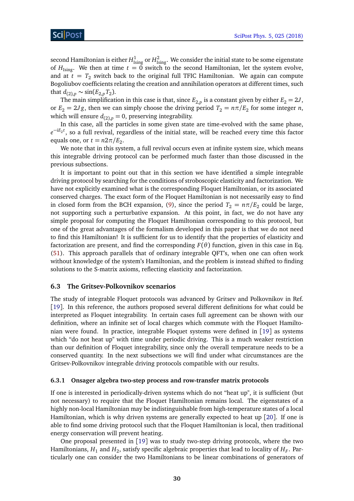second Hamiltonian is either  $H^1_{\rm Ising}$  or  $H^2_{\rm Ising}.$  We consider the initial state to be some eigenstate of  $H_{Ising}$ . We then at time  $t = 0$  switch to the second Hamiltonian, let the system evolve, and at  $t = T_2$  switch back to the original full TFIC Hamiltonian. We again can compute Bogoliubov coefficients relating the creation and annihilation operators at different times, such that *d*<sub>(2),*p*</sub> ∼ sin(*E*<sub>2,*p*</sub>*T*<sub>2</sub>).

The main simplification in this case is that, since  $E_{2,p}$  is a constant given by either  $E_2 = 2J$ , or  $E_2 = 2Jg$ , then we can simply choose the driving period  $T_2 = n\pi/E_2$  for some integer *n*, which will ensure  $d_{(2),p} = 0$ , preserving integrability.

In this case, all the particles in some given state are time-evolved with the same phase, *e*<sup>-iE<sub>2</sub>*t*</sup>, so a full revival, regardless of the initial state, will be reached every time this factor equals one, or  $t = n2\pi/E_2$ .

We note that in this system, a full revival occurs even at infinite system size, which means this integrable driving protocol can be performed much faster than those discussed in the previous subsections.

It is important to point out that in this section we have identified a simple integrable driving protocol by searching for the conditions of stroboscopic elasticity and factorization. We have not explicitly examined what is the corresponding Floquet Hamiltonian, or its associated conserved charges. The exact form of the Floquet Hamiltonian is not necessarily easy to find in closed form from the BCH expansion, [\(9\)](#page-9-0), since the period  $T_2 = n\pi/E_2$  could be large, not supporting such a perturbative expansion. At this point, in fact, we do not have any simple proposal for computing the Floquet Hamiltonian corresponding to this protocol, but one of the great advantages of the formalism developed in this paper is that we do not need to find this Hamiltonian! It is sufficient for us to identify that the properties of elasticity and factorization are present, and find the corresponding  $F(\theta)$  function, given in this case in Eq. [\(51\)](#page-26-2). This approach parallels that of ordinary integrable QFT's, when one can often work without knowledge of the system's Hamiltonian, and the problem is instead shifted to finding solutions to the S-matrix axioms, reflecting elasticity and factorization.

#### <span id="page-29-0"></span>**6.3 The Gritsev-Polkovnikov scenarios**

The study of integrable Floquet protocols was advanced by Gritsev and Polkovnikov in Ref. [[19](#page-38-5)]. In this reference, the authors proposed several different definitions for what could be interpreted as Floquet integrability. In certain cases full agreement can be shown with our definition, where an infinite set of local charges which commute with the Floquet Hamiltonian were found. In practice, integrable Floquet systems were defined in [[19](#page-38-5)] as systems which "do not heat up" with time under periodic driving. This is a much weaker restriction than our definition of Floquet integrability, since only the overall temperature needs to be a conserved quantity. In the next subsections we will find under what circumstances are the Gritsev-Polkovnikov integrable driving protocols compatible with our results.

#### <span id="page-29-1"></span>**6.3.1 Onsager algebra two-step process and row-transfer matrix protocols**

If one is interested in periodically-driven systems which do not "heat up", it is sufficient (but not necessary) to require that the Floquet Hamiltonian remains local. The eigenstates of a highly non-local Hamiltonian may be indistinguishable from high-temperature states of a local Hamiltonian, which is why driven systems are generally expected to heat up [[20](#page-38-6)]. If one is able to find some driving protocol such that the Floquet Hamiltonian is local, then traditional energy conservation will prevent heating.

One proposal presented in [[19](#page-38-5)] was to study two-step driving protocols, where the two Hamiltonians,  $H_1$  and  $H_2$ , satisfy specific algebraic properties that lead to locality of  $H_F$ . Particularly one can consider the two Hamiltonians to be linear combinations of generators of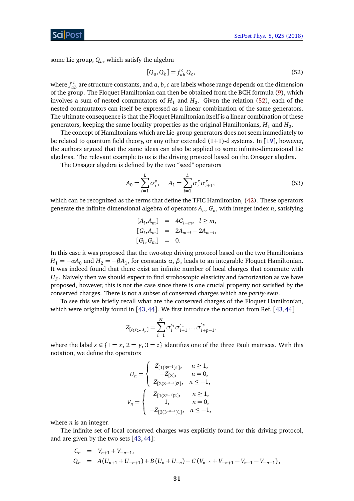some Lie group,  $Q_a$ , which satisfy the algebra

$$
[Q_a, Q_b] = f_{ab}^c Q_c,\tag{52}
$$

where  $f_{ab}^c$  are structure constants, and  $a,b,c$  are labels whose range depends on the dimension of the group. The Floquet Hamiltonian can then be obtained from the BCH formula [\(9\)](#page-9-0), which involves a sum of nested commutators of  $H_1$  and  $H_2$ . Given the relation [\(52\)](#page-26-3), each of the nested commutators can itself be expressed as a linear combination of the same generators. The ultimate consequence is that the Floquet Hamiltonian itself is a linear combination of these generators, keeping the same locality properties as the original Hamiltonians,  $H_1$  and  $H_2$ .

The concept of Hamiltonians which are Lie-group generators does not seem immediately to be related to quantum field theory, or any other extended  $(1+1)$ -d systems. In [[19](#page-38-5)], however, the authors argued that the same ideas can also be applied to some infinite-dimensional Lie algebras. The relevant example to us is the driving protocol based on the Onsager algebra.

The Onsager algebra is defined by the two "seed" operators

<span id="page-30-1"></span>
$$
A_0 = \sum_{i=1}^{L} \sigma_i^z, \quad A_1 = \sum_{i=1}^{L} \sigma_i^x \sigma_{i+1}^x,
$$
 (53)

which can be recognized as the terms that define the TFIC Hamiltonian, [\(42\)](#page-21-2). These operators generate the infinite dimensional algebra of operators  $A_n$ ,  $G_n$ , with integer index  $n$ , satisfying

<span id="page-30-0"></span>
$$
[A_l, A_m] = 4G_{l-m}, l \ge m,
$$
  
\n
$$
[G_l, A_m] = 2A_{m+l} - 2A_{m-l},
$$
  
\n
$$
[G_l, G_m] = 0.
$$

In this case it was proposed that the two-step driving protocol based on the two Hamiltonians *H*<sub>1</sub> =  $-\alpha$ *A*<sub>0</sub> and *H*<sub>2</sub> =  $-\beta$ *A*<sub>1</sub>, for constants *α*, *β*, leads to an integrable Floquet Hamiltonian. It was indeed found that there exist an infinite number of local charges that commute with  $H_F.$  Naively then we should expect to find stroboscopic elasticity and factorization as we have proposed, however, this is not the case since there is one crucial property not satisfied by the conserved charges. There is not a subset of conserved charges which are *parity-even*.

To see this we briefly recall what are the conserved charges of the Floquet Hamiltonian, which were originally found in [[43,](#page-39-13)[44](#page-40-0)]. We first introduce the notation from Ref. [43,44]

$$
Z_{[s_1s_2...s_p]} = \sum_{i=1}^N \sigma_i^{s_1} \sigma_{i+1}^{s_2} ... \sigma_{i+p-1}^{s_p},
$$

where the label  $s \in \{1 = x, 2 = y, 3 = z\}$  identifies one of the three Pauli matrices. With this notation, we define the operators

$$
U_n = \begin{cases} Z_{[1(3^{n-1})1]}, & n \ge 1, \\ -Z_{[3]}, & n = 0, \\ Z_{[2(3^{-n-1})2]}, & n \le -1, \\ \end{cases}
$$
  

$$
V_n = \begin{cases} Z_{[1(3^{n-1})2]}, & n \ge 1, \\ 1, & n = 0, \\ -Z_{[2(3^{-n-1})1]}, & n \le -1, \end{cases}
$$

where *n* is an integer.

The infinite set of local conserved charges was explicitly found for this driving protocol, and are given by the two sets [[43,](#page-39-13)[44](#page-40-0)]:

$$
C_n = V_{n+1} + V_{-n-1},
$$
  
\n
$$
Q_n = A(U_{n+1} + U_{-n+1}) + B(U_n + U_{-n}) - C(V_{n+1} + V_{-n+1} - V_{n-1} - V_{-n-1}),
$$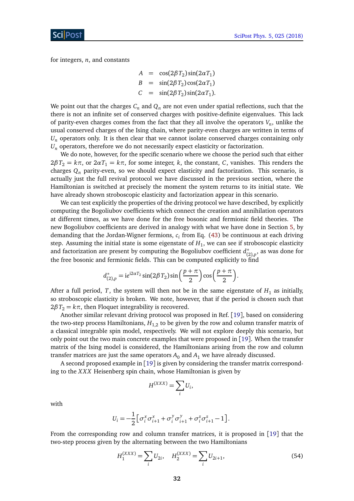for integers, *n*, and constants

$$
A = \cos(2\beta T_2)\sin(2\alpha T_1)
$$
  
\n
$$
B = \sin(2\beta T_2)\cos(2\alpha T_1)
$$
  
\n
$$
C = \sin(2\beta T_2)\sin(2\alpha T_1).
$$

We point out that the charges  $C_n$  and  $Q_n$  are not even under spatial reflections, such that the there is not an infinite set of conserved charges with positive-definite eigenvalues. This lack of parity-even charges comes from the fact that they all involve the operators *V<sup>n</sup>* , unlike the usual conserved charges of the Ising chain, where parity-even charges are written in terms of  $U_n$  operators only. It is then clear that we cannot isolate conserved charges containing only  $U_n$  operators, therefore we do not necessarily expect elasticity or factorization.

We do note, however, for the specific scenario where we choose the period such that either  $2\beta T_2 = k\pi$ , or  $2\alpha T_1 = k\pi$ , for some integer, *k*, the constant, *C*, vanishes. This renders the charges *Q<sup>n</sup>* parity-even, so we should expect elasticity and factorization. This scenario, is actually just the full revival protocol we have discussed in the previous section, where the Hamiltonian is switched at precisely the moment the system returns to its initial state. We have already shown stroboscopic elasticity and factorization appear in this scenario.

We can test explicitly the properties of the driving protocol we have described, by explicitly computing the Bogoliubov coefficients which connect the creation and annihilation operators at different times, as we have done for the free bosonic and fermionic field theories. The new Bogoliubov coefficients are derived in analogy with what we have done in Section [5,](#page-17-0) by demanding that the Jordan-Wigner fermions, *c<sup>i</sup>* from Eq. [\(43\)](#page-22-3) be continuous at each driving step. Assuming the initial state is some eigenstate of  $H_1$ , we can see if stroboscopic elasticity and factorization are present by computing the Bogoliubov coefficient *d* ∗  $\binom{*}{(2),p}$ , as was done for the free bosonic and fermionic fields. This can be computed explicitly to find

$$
d_{(2),p}^* = ie^{i2\alpha T_2}\sin(2\beta T_2)\sin\left(\frac{p+\pi}{2}\right)\cos\left(\frac{p+\pi}{2}\right).
$$

After a full period, *T*, the system will then not be in the same eigenstate of  $H_1$  as initially, so stroboscopic elasticity is broken. We note, however, that if the period is chosen such that  $2\beta T_2 = k\pi$ , then Floquet integrability is recovered.

Another similar relevant driving protocol was proposed in Ref. [[19](#page-38-5)], based on considering the two-step process Hamiltonians,  $H_{1,2}$  to be given by the row and column transfer matrix of a classical integrable spin model, respectively. We will not explore deeply this scenario, but only point out the two main concrete examples that were proposed in [[19](#page-38-5)]. When the transfer matrix of the Ising model is considered, the Hamiltonians arising from the row and column transfer matrices are just the same operators  $A_0$  and  $A_1$  we have already discussed.

A second proposed example in [[19](#page-38-5)] is given by considering the transfer matrix corresponding to the *X X X* Heisenberg spin chain, whose Hamiltonian is given by

$$
H^{(XXX)} = \sum_i U_i,
$$

with

$$
U_i = -\frac{1}{2} \Big[ \sigma_i^x \sigma_{i+1}^x + \sigma_i^y \sigma_{i+1}^y + \sigma_i^z \sigma_{i+1}^z - 1 \Big].
$$

From the corresponding row and column transfer matrices, it is proposed in [[19](#page-38-5)] that the two-step process given by the alternating between the two Hamiltonians

$$
H_1^{(XXX)} = \sum_i U_{2i}, \quad H_2^{(XXX)} = \sum_i U_{2i+1}, \tag{54}
$$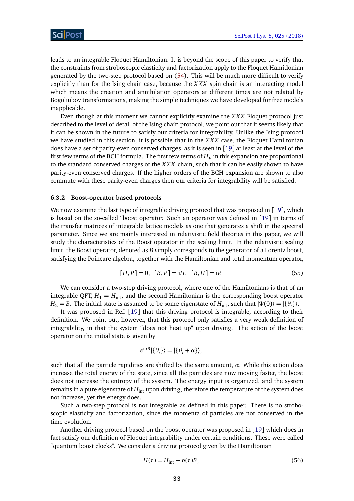leads to an integrable Floquet Hamiltonian. It is beyond the scope of this paper to verify that the constraints from stroboscopic elasticity and factorization apply to the Floquet Hamitlonian generated by the two-step protocol based on [\(54\)](#page-30-0). This will be much more difficult to verify explicitly than for the Ising chain case, because the *XXX* spin chain is an interacting model which means the creation and annihilation operators at different times are not related by Bogoliubov transformations, making the simple techniques we have developed for free models inapplicable.

Even though at this moment we cannot explicitly examine the *X X X* Floquet protocol just described to the level of detail of the Ising chain protocol, we point out that it seems likely that it can be shown in the future to satisfy our criteria for integrability. Unlike the Ising protocol we have studied in this section, it is possible that in the *X X X* case, the Floquet Hamiltonian does have a set of parity-even conserved charges, as it is seen in [[19](#page-38-5)] at least at the level of the first few terms of the BCH formula. The first few terms of  $H_F$  in this expansion are proportional to the standard conserved charges of the *X X X* chain, such that it can be easily shown to have parity-even conserved charges. If the higher orders of the BCH expansion are shown to also commute with these parity-even charges then our criteria for integrability will be satisfied.

#### <span id="page-32-0"></span>**6.3.2 Boost-operator based protocols**

We now examine the last type of integrable driving protocol that was proposed in [[19](#page-38-5)], which is based on the so-called "boost"operator. Such an operator was defined in [[19](#page-38-5)] in terms of the transfer matrices of integrable lattice models as one that generates a shift in the spectral parameter. Since we are mainly interested in relativistic field theories in this paper, we will study the characteristics of the Boost operator in the scaling limit. In the relativistic scaling limit, the Boost operator, denoted as *B* simply corresponds to the generator of a Lorentz boost, satisfying the Poincare algebra, together with the Hamiltonian and total momentum operator,

$$
[H, P] = 0, [B, P] = iH, [B, H] = iP.
$$
\n(55)

We can consider a two-step driving protocol, where one of the Hamiltonians is that of an integrable QFT,  $H_1 = H_{\text{int}}$ , and the second Hamiltonian is the corresponding boost operator *H*<sub>2</sub> = *B*. The initial state is assumed to be some eigenstate of *H*<sub>int</sub>, such that  $|\Psi(0)\rangle = |\{\theta_i\}\rangle$ .

It was proposed in Ref. [[19](#page-38-5)] that this driving protocol is integrable, according to their definition. We point out, however, that this protocol only satisfies a very weak definition of integrability, in that the system "does not heat up" upon driving. The action of the boost operator on the initial state is given by

<span id="page-32-1"></span>
$$
e^{i\alpha B}|\{\theta_i\}\rangle = |\{\theta_i + \alpha\}\rangle,
$$

such that all the particle rapidities are shifted by the same amount,  $\alpha$ . While this action does increase the total energy of the state, since all the particles are now moving faster, the boost does not increase the entropy of the system. The energy input is organized, and the system remains in a pure eigenstate of  $H_{int}$  upon driving, therefore the temperature of the system does not increase, yet the energy does.

Such a two-step protocol is not integrable as defined in this paper. There is no stroboscopic elasticity and factorization, since the momenta of particles are not conserved in the time evolution.

Another driving protocol based on the boost operator was proposed in [[19](#page-38-5)] which does in fact satisfy our definition of Floquet integrability under certain conditions. These were called "quantum boost clocks". We consider a driving protocol given by the Hamiltonian

$$
H(t) = H_{\text{int}} + b(t)B,\tag{56}
$$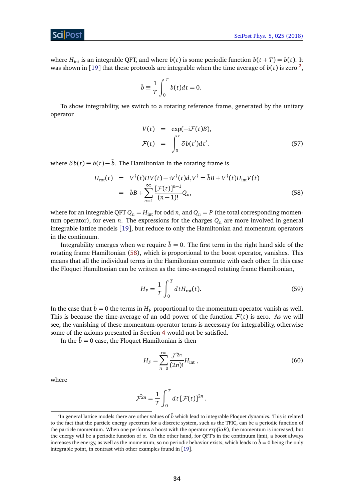ScilPos<sup>.</sup>

where  $H_{int}$  is an integrable QFT, and where  $b(t)$  is some periodic function  $b(t + T) = b(t)$ . It was shown in [[19](#page-38-5)] that these protocols are integrable when the time average of  $b(t)$  is zero <sup>[2](#page-33-0)</sup>,

$$
\bar{b} \equiv \frac{1}{T} \int_0^T b(t) dt = 0.
$$

To show integrability, we switch to a rotating reference frame, generated by the unitary operator

$$
V(t) = \exp(-iF(t)B),
$$
  
\n
$$
F(t) = \int_0^t \delta b(t')dt'.
$$
\n(57)

where  $\delta b(t) \equiv b(t) - \bar{b}$ . The Hamiltonian in the rotating frame is

<span id="page-33-1"></span>
$$
H_{\text{rot}}(t) = V^{\dagger}(t)HV(t) - iV^{\dagger}(t)d_{t}V^{\dagger} = \bar{b}B + V^{\dagger}(t)H_{\text{int}}V(t)
$$
  

$$
= \bar{b}B + \sum_{n=1}^{\infty} \frac{[\mathcal{F}(t)]^{n-1}}{(n-1)!}Q_{n},
$$
 (58)

where for an integrable QFT  $Q_n = H_{\text{int}}$  for odd *n*, and  $Q_n = P$  (the total corresponding momentum operator), for even *n*. The expressions for the charges  $Q_n$  are more involved in general integrable lattice models [[19](#page-38-5)], but reduce to only the Hamiltonian and momentum operators in the continuum.

Integrability emerges when we require  $\bar{b} = 0$ . The first term in the right hand side of the rotating frame Hamiltonian [\(58\)](#page-33-1), which is proportional to the boost operator, vanishes. This means that all the individual terms in the Hamiltonian commute with each other. In this case the Floquet Hamiltonian can be written as the time-averaged rotating frame Hamiltonian,

$$
H_F = \frac{1}{T} \int_0^T dt H_{\text{rot}}(t).
$$
\n(59)

In the case that  $\bar{b} = 0$  the terms in  $H_F$  proportional to the momentum operator vanish as well. This is because the time-average of an odd power of the function  $F(t)$  is zero. As we will see, the vanishing of these momentum-operator terms is necessary for integrability, otherwise some of the axioms presented in Section [4](#page-11-0) would not be satisfied.

In the  $b = 0$  case, the Floquet Hamiltonian is then

<span id="page-33-2"></span>
$$
H_F = \sum_{n=0}^{\infty} \frac{\bar{\mathcal{F}}^{2n}}{(2n)!} H_{\text{int}} \,, \tag{60}
$$

where

<span id="page-33-3"></span>
$$
\bar{\mathcal{F}}^{2n} = \frac{1}{T} \int_0^T dt \, [\mathcal{F}(t)]^{2n}.
$$

<span id="page-33-0"></span> $^2$ In general lattice models there are other values of  $\bar{b}$  which lead to integrable Floquet dynamics. This is related to the fact that the particle energy spectrum for a discrete system, such as the TFIC, can be a periodic function of the particle momentum. When one performs a boost with the operator  $exp(i\alpha B)$ , the momentum is increased, but the energy will be a periodic function of *α*. On the other hand, for QFT's in the continuum limit, a boost always increases the energy, as well as the momentum, so no periodic behavior exists, which leads to  $\bar{b} = 0$  being the only integrable point, in contrast with other examples found in [[19](#page-38-5)].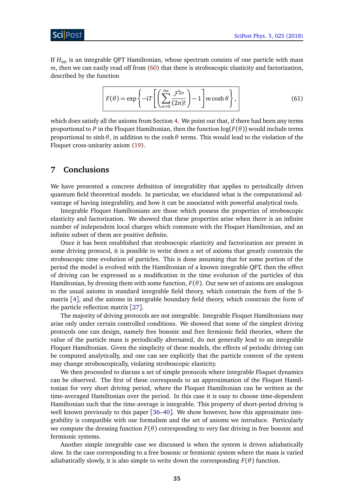If *H*int is an integrable QFT Hamiltonian, whose spectrum consists of one particle with mass *m*, then we can easily read off from [\(60\)](#page-33-2) that there is stroboscopic elasticity and factorization, described by the function

$$
F(\theta) = \exp\left\{-i\mathcal{T}\left[\left(\sum_{n=0}^{\infty} \frac{\mathcal{F}^{2n}}{(2n)!}\right) - 1\right] m \cosh \theta\right\},\tag{61}
$$

which does satisfy all the axioms from Section [4.](#page-11-0) We point out that, if there had been any terms proportional to *P* in the Floquet Hamiltonian, then the function  $log(F(\theta))$  would include terms proportional to sinh*θ*, in addition to the cosh*θ* terms. This would lead to the violation of the Floquet cross-unitarity axiom [\(19\)](#page-14-1).

## <span id="page-34-0"></span>**7 Conclusions**

We have presented a concrete definition of integrability that applies to periodically driven quantum field theoretical models. In particular, we elucidated what is the computational advantage of having integrability, and how it can be associated with powerful analytical tools.

Integrable Floquet Hamiltonians are those which possess the properties of stroboscopic elasticity and factorization. We showed that these properties arise when there is an infinite number of independent local charges which commute with the Floquet Hamiltonian, and an infinite subset of them are positive definite.

Once it has been established that stroboscopic elasticity and factorization are present in some driving protocol, it is possible to write down a set of axioms that greatly constrain the stroboscopic time evolution of particles. This is done assuming that for some portion of the period the model is evolved with the Hamiltonian of a known integrable QFT, then the effect of driving can be expressed as a modification in the time evolution of the particles of this Hamiltonian, by dressing them with some function, *F*(*θ*). Our new set of axioms are analogous to the usual axioms in standard integrable field theory, which constrain the form of the Smatrix [[4](#page-37-3)], and the axioms in integrable boundary field theory, which constrain the form of the particle reflection matrix [[27](#page-39-0)].

The majority of driving protocols are not integrable. Integrable Floquet Hamiltonians may arise only under certain controlled conditions. We showed that some of the simplest driving protocols one can design, namely free bosonic and free fermionic field theories, where the value of the particle mass is periodically alternated, do not generally lead to an integrable Floquet Hamiltonian. Given the simplicity of these models, the effects of periodic driving can be computed analytically, and one can see explicitly that the particle content of the system may change stroboscopically, violating stroboscopic elasticity.

We then proceeded to discuss a set of simple protocols where integrable Floquet dynamics can be observed. The first of these corresponds to an approximation of the Floquet Hamiltonian for very short driving period, where the Floquet Hamiltonian can be written as the time-averaged Hamiltonian over the period. In this case it is easy to choose time-dependent Hamiltonian such that the time-average is integrable. This property of short-period driving is well known previously to this paper [[36](#page-39-9)[–40](#page-39-10)]. We show however, how this approximate integrability is compatible with our formalism and the set of axioms we introduce. Particularly we compute the dressing function  $F(\theta)$  corresponding to very fast driving in free bosonic and fermionic systems.

Another simple integrable case we discussed is when the system is driven adiabatically slow. In the case corresponding to a free bosonic or fermionic system where the mass is varied adiabatically slowly, it is also simple to write down the corresponding  $F(\theta)$  function.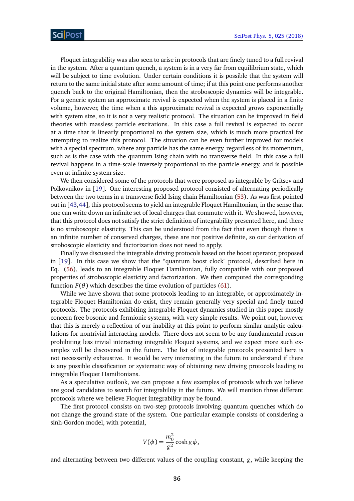Floquet integrability was also seen to arise in protocols that are finely tuned to a full revival in the system. After a quantum quench, a system is in a very far from equilibrium state, which will be subject to time evolution. Under certain conditions it is possible that the system will return to the same initial state after some amount of time; if at this point one performs another quench back to the original Hamiltonian, then the stroboscopic dynamics will be integrable. For a generic system an approximate revival is expected when the system is placed in a finite volume, however, the time when a this approximate revival is expected grows exponentially with system size, so it is not a very realistic protocol. The situation can be improved in field theories with massless particle excitations. In this case a full revival is expected to occur at a time that is linearly proportional to the system size, which is much more practical for attempting to realize this protocol. The situation can be even further improved for models with a special spectrum, where any particle has the same energy, regardless of its momentum, such as is the case with the quantum Ising chain with no transverse field. In this case a full revival happens in a time-scale inversely proportional to the particle energy, and is possible even at infinite system size.

We then considered some of the protocols that were proposed as integrable by Gritsev and Polkovnikov in [[19](#page-38-5)]. One interesting proposed protocol consisted of alternating periodically between the two terms in a transverse field Ising chain Hamiltonian [\(53\)](#page-30-1). As was first pointed out in [[43,](#page-39-13)[44](#page-40-0)], this protocol seems to yield an integrable Floquet Hamiltonian, in the sense that one can write down an infinite set of local charges that commute with it. We showed, however, that this protocol does not satisfy the strict definition of integrability presented here, and there is no stroboscopic elasticity. This can be understood from the fact that even though there is an infinite number of conserved charges, these are not positive definite, so our derivation of stroboscopic elasticity and factorization does not need to apply.

Finally we discussed the integrable driving protocols based on the boost operator, proposed in [[19](#page-38-5)]. In this case we show that the "quantum boost clock" protocol, described here in Eq. [\(56\)](#page-32-1), leads to an integrable Floquet Hamiltonian, fully compatible with our proposed properties of stroboscopic elasticity and factorization. We then computed the corresponding function  $F(\theta)$  which describes the time evolution of particles [\(61\)](#page-33-3).

While we have shown that some protocols leading to an integrable, or approximately integrable Floquet Hamiltonian do exist, they remain generally very special and finely tuned protocols. The protocols exhibiting integrable Floquet dynamics studied in this paper mostly concern free bosonic and fermionic systems, with very simple results. We point out, however that this is merely a reflection of our inability at this point to perform similar analytic calculations for nontrivial interacting models. There does not seem to be any fundamental reason prohibiting less trivial interacting integrable Floquet systems, and we expect more such examples will be discovered in the future. The list of integrable protocols presented here is not necessarily exhaustive. It would be very interesting in the future to understand if there is any possible classification or systematic way of obtaining new driving protocols leading to integrable Floquet Hamiltonians.

As a speculative outlook, we can propose a few examples of protocols which we believe are good candidates to search for integrability in the future. We will mention three different protocols where we believe Floquet integrability may be found.

The first protocol consists on two-step protocols involving quantum quenches which do not change the ground-state of the system. One particular example consists of considering a sinh-Gordon model, with potential,

<span id="page-35-0"></span>
$$
V(\phi) = \frac{m_0^2}{g^2} \cosh g \phi,
$$

and alternating between two different values of the coupling constant, *g*, while keeping the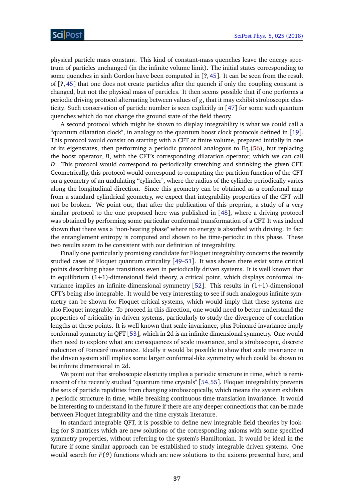physical particle mass constant. This kind of constant-mass quenches leave the energy spectrum of particles unchanged (in the infinite volume limit). The initial states corresponding to some quenches in sinh Gordon have been computed in [**?**,[45](#page-40-1)]. It can be seen from the result of [**?**, [45](#page-40-1)] that one does not create particles after the quench if only the coupling constant is changed, but not the physical mass of particles. It then seems possible that if one performs a periodic driving protocol alternating between values of *g*, that it may exhibit stroboscopic elasticity. Such conservation of particle number is seen explicitly in [[47](#page-40-2)] for some such quantum quenches which do not change the ground state of the field theory.

A second protocol which might be shown to display integrability is what we could call a "quantum dilatation clock", in analogy to the quantum boost clock protocols defined in [[19](#page-38-5)]. This protocol would consist on starting with a CFT at finite volume, prepared initially in one of its eigenstates, then performing a periodic protocol analogous to Eq.[\(56\)](#page-32-1), but replacing the boost operator, *B*, with the CFT's corresponding dilatation operator, which we can call *D*. This protocol would correspond to periodically stretching and shrinking the given CFT. Geometrically, this protocol would correspond to computing the partition function of the CFT on a geometry of an undulating "cylinder", where the radius of the cylinder periodically varies along the longitudinal direction. Since this geometry can be obtained as a conformal map from a standard cylindrical geometry, we expect that integrability properties of the CFT will not be broken. We point out, that after the publication of this preprint, a study of a very similar protocol to the one proposed here was published in [[48](#page-40-3)], where a driving protocol was obtained by performing some particular conformal transformation of a CFT. It was indeed shown that there was a "non-heating phase" where no energy is absorbed with driving. In fact the entanglement entropy is computed and shown to be time-periodic in this phase. These two results seem to be consistent with our definition of integrability.

Finally one particularly promising candidate for Floquet integrability concerns the recently studied cases of Floquet quantum criticality [[49](#page-40-4)[–51](#page-40-5)]. It was shown there exist some critical points describing phase transitions even in periodically driven systems. It is well known that in equilibrium (1+1)-dimensional field theory, a critical point, which displays conformal invariance implies an infinite-dimensional symmetry  $[52]$  $[52]$  $[52]$ . This results in  $(1+1)$ -dimensional CFT's being also integrable. It would be very interesting to see if such analogous infinite symmetry can be shown for Floquet critical systems, which would imply that these systems are also Floquet integrable. To proceed in this direction, one would need to better understand the properties of criticality in driven systems, particularly to study the divergence of correlation lengths at these points. It is well known that scale invariance, plus Poincaré invariance imply conformal symmetry in QFT [[53](#page-40-7)], which in 2d is an infinite dimensional symmetry. One would then need to explore what are consequences of scale invariance, and a stroboscopic, discrete reduction of Poincaré invariance. Ideally it would be possible to show that scale invariance in the driven system still implies some larger conformal-like symmetry which could be shown to be infinite dimensional in 2d.

We point out that stroboscopic elasticity implies a periodic structure in time, which is reminiscent of the recently studied "quantum time crystals" [[54,](#page-40-8)[55](#page-40-9)]. Floquet integrability prevents the sets of particle rapidities from changing stroboscopically, which means the system exhibits a periodic structure in time, while breaking continuous time translation invariance. It would be interesting to understand in the future if there are any deeper connections that can be made between Floquet integrability and the time crystals literature.

In standard integrable QFT, it is possible to define new integrable field theories by looking for S-matrices which are new solutions of the corresponding axioms with some specified symmetry properties, without referring to the system's Hamiltonian. It would be ideal in the future if some similar approach can be established to study integrable driven systems. One would search for  $F(\theta)$  functions which are new solutions to the axioms presented here, and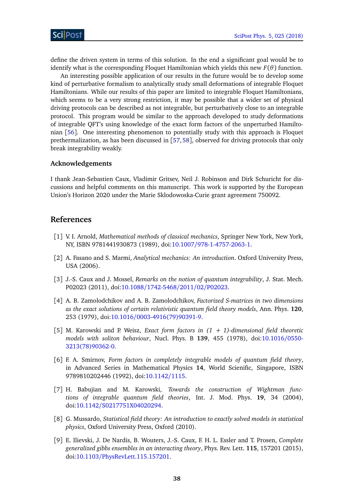![](_page_37_Picture_1.jpeg)

define the driven system in terms of this solution. In the end a significant goal would be to identify what is the corresponding Floquet Hamiltonian which yields this new *F*(*θ*) function.

An interesting possible application of our results in the future would be to develop some kind of perturbative formalism to analytically study small deformations of integrable Floquet Hamiltonians. While our results of this paper are limited to integrable Floquet Hamiltonians, which seems to be a very strong restriction, it may be possible that a wider set of physical driving protocols can be described as not integrable, but perturbatively close to an integrable protocol. This program would be similar to the approach developed to study deformations of integrable QFT's using knowledge of the exact form factors of the unperturbed Hamiltonian [[56](#page-40-10)]. One interesting phenomenon to potentially study with this approach is Floquet prethermalization, as has been discussed in [[57,](#page-40-11)[58](#page-40-12)], observed for driving protocols that only break integrability weakly.

#### **Acknowledgements**

I thank Jean-Sebastien Caux, Vladimir Gritsev, Neil J. Robinson and Dirk Schuricht for discussions and helpful comments on this manuscript. This work is supported by the European Union's Horizon 2020 under the Marie Sklodowoska-Curie grant agreement 750092.

## **References**

- <span id="page-37-0"></span>[1] V. I. Arnold, *Mathematical methods of classical mechanics*, Springer New York, New York, NY, ISBN 9781441930873 (1989), doi:10.1007/[978-1-4757-2063-1.](http://dx.doi.org/10.1007/978-1-4757-2063-1)
- <span id="page-37-1"></span>[2] A. Fasano and S. Marmi, *Analytical mechanics: An introduction*. Oxford University Press, USA (2006).
- <span id="page-37-2"></span>[3] J.-S. Caux and J. Mossel, *Remarks on the notion of quantum integrability*, J. Stat. Mech. P02023 (2011), doi:10.1088/[1742-5468](http://dx.doi.org/10.1088/1742-5468/2011/02/P02023)/2011/02/P02023.
- <span id="page-37-3"></span>[4] A. B. Zamolodchikov and A. B. Zamolodchikov, *Factorized S-matrices in two dimensions as the exact solutions of certain relativistic quantum field theory models*, Ann. Phys. **120**, 253 (1979), doi:10.1016/[0003-4916\(79\)90391-9.](http://dx.doi.org/10.1016/0003-4916(79)90391-9)
- <span id="page-37-4"></span>[5] M. Karowski and P. Weisz, *Exact form factors in (1 + 1)-dimensional field theoretic models with soliton behaviour*, Nucl. Phys. B **139**, 455 (1978), doi[:10.1016](http://dx.doi.org/10.1016/0550-3213(78)90362-0)/0550- [3213\(78\)90362-0.](http://dx.doi.org/10.1016/0550-3213(78)90362-0)
- <span id="page-37-7"></span>[6] F. A. Smirnov, *Form factors in completely integrable models of quantum field theory*, in Advanced Series in Mathematical Physics **14**, World Scienific, Singapore, ISBN 9789810202446 (1992), doi[:10.1142](http://dx.doi.org/10.1142/1115)/1115.
- [7] H. Babujian and M. Karowski, *Towards the construction of Wightman functions of integrable quantum field theories*, Int. J. Mod. Phys. **19**, 34 (2004), doi:10.1142/[S0217751X04020294.](http://dx.doi.org/10.1142/S0217751X04020294)
- <span id="page-37-5"></span>[8] G. Mussardo, *Statistical field theory: An introduction to exactly solved models in statistical physics*, Oxford University Press, Oxford (2010).
- <span id="page-37-6"></span>[9] E. Ilievski, J. De Nardis, B. Wouters, J.-S. Caux, F. H. L. Essler and T. Prosen, *Complete generalized gibbs ensembles in an interacting theory*, Phys. Rev. Lett. **115**, 157201 (2015), doi:10.1103/[PhysRevLett.115.157201.](http://dx.doi.org/10.1103/PhysRevLett.115.157201)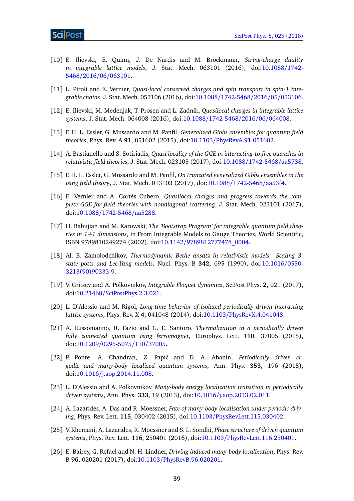- [10] E. Ilievski, E. Quinn, J. De Nardis and M. Brockmann, *String-charge duality in integrable lattice models*, J. Stat. Mech. 063101 (2016), doi[:10.1088](http://dx.doi.org/10.1088/1742-5468/2016/06/063101)/1742- 5468/2016/06/[063101.](http://dx.doi.org/10.1088/1742-5468/2016/06/063101)
- [11] L. Piroli and E. Vernier, *Quasi-local conserved charges and spin transport in spin-1 integrable chains*, J. Stat. Mech. 053106 (2016), doi:10.1088/[1742-5468](http://dx.doi.org/10.1088/1742-5468/2016/05/053106)/2016/05/053106.
- <span id="page-38-0"></span>[12] E. Ilievski, M. Medenjak, T. Prosen and L. Zadnik, *Quasilocal charges in integrable lattice systems*, J. Stat. Mech. 064008 (2016), doi:10.1088/[1742-5468](http://dx.doi.org/10.1088/1742-5468/2016/06/064008)/2016/06/064008.
- <span id="page-38-1"></span>[13] F. H. L. Essler, G. Mussardo and M. Panfil, *Generalized Gibbs ensembles for quantum field theories*, Phys. Rev. A **91**, 051602 (2015), doi:10.1103/[PhysRevA.91.051602.](http://dx.doi.org/10.1103/PhysRevA.91.051602)
- [14] A. Bastianello and S. Sotiriadis, *Quasi locality of the GGE in interacting-to-free quenches in relativistic field theories*, J. Stat. Mech. 023105 (2017), doi:10.1088/[1742-5468](http://dx.doi.org/10.1088/1742-5468/aa5738)/aa5738.
- [15] F. H. L. Essler, G. Mussardo and M. Panfil, *On truncated generalized Gibbs ensembles in the Ising field theory*, J. Stat. Mech. 013103 (2017), doi:10.1088/[1742-5468](http://dx.doi.org/10.1088/1742-5468/aa53f4)/aa53f4.
- <span id="page-38-2"></span>[16] E. Vernier and A. Cortés Cubero, *Quasilocal charges and progress towards the complete GGE for field theories with nondiagonal scattering*, J. Stat. Mech. 023101 (2017), doi:10.1088/[1742-5468](http://dx.doi.org/10.1088/1742-5468/aa5288)/aa5288.
- <span id="page-38-3"></span>[17] H. Babujian and M. Karowski, *The 'Bootstrap Program' for integrable quantum field theories in 1+1 dimensions*, in From Integrable Models to Gauge Theories, World Scientific, ISBN 9789810249274 (2002), doi:10.1142/[9789812777478\\_0004.](http://dx.doi.org/10.1142/9789812777478_0004)
- <span id="page-38-4"></span>[18] Al. B. Zamolodchikov, *Thermodynamic Bethe ansatz in relativistic models: Scaling 3 state potts and Lee-Yang models*, Nucl. Phys. B **342**, 695 (1990), doi[:10.1016](http://dx.doi.org/10.1016/0550-3213(90)90333-9)/0550- [3213\(90\)90333-9.](http://dx.doi.org/10.1016/0550-3213(90)90333-9)
- <span id="page-38-5"></span>[19] V. Gritsev and A. Polkovnikov, *Integrable Floquet dynamics*, SciPost Phys. **2**, 021 (2017), doi:10.21468/[SciPostPhys.2.3.021.](http://dx.doi.org/10.21468/SciPostPhys.2.3.021)
- <span id="page-38-6"></span>[20] L. D'Alessio and M. Rigol, *Long-time behavior of isolated periodically driven interacting lattice systems*, Phys. Rev. X **4**, 041048 (2014), doi:10.1103/[PhysRevX.4.041048.](http://dx.doi.org/10.1103/PhysRevX.4.041048)
- <span id="page-38-7"></span>[21] A. Russomanno, R. Fazio and G. E. Santoro, *Thermalization in a periodically driven fully connected quantum Ising ferromagnet*, Europhys. Lett. **110**, 37005 (2015), doi:10.1209/[0295-5075](http://dx.doi.org/10.1209/0295-5075/110/37005)/110/37005.
- <span id="page-38-8"></span>[22] P. Ponte, A. Chandran, Z. Papić and D. A. Abanin, *Periodically driven ergodic and many-body localized quantum systems*, Ann. Phys. **353**, 196 (2015), doi:10.1016/[j.aop.2014.11.008.](http://dx.doi.org/10.1016/j.aop.2014.11.008)
- [23] L. D'Alessio and A. Polkovnikov, *Many-body energy localization transition in periodically driven systems*, Ann. Phys. **333**, 19 (2013), doi:10.1016/[j.aop.2013.02.011.](http://dx.doi.org/10.1016/j.aop.2013.02.011)
- [24] A. Lazarides, A. Das and R. Moessner, *Fate of many-body localization under periodic driving*, Phys. Rev. Lett. **115**, 030402 (2015), doi:10.1103/[PhysRevLett.115.030402.](http://dx.doi.org/10.1103/PhysRevLett.115.030402)
- [25] V. Khemani, A. Lazarides, R. Moessner and S. L. Sondhi, *Phase structure of driven quantum systems*, Phys. Rev. Lett. **116**, 250401 (2016), doi:10.1103/[PhysRevLett.116.250401.](http://dx.doi.org/10.1103/PhysRevLett.116.250401)
- <span id="page-38-9"></span>[26] E. Bairey, G. Refael and N. H. Lindner, *Driving induced many-body localization*, Phys. Rev. B **96**, 020201 (2017), doi:10.1103/[PhysRevB.96.020201.](http://dx.doi.org/10.1103/PhysRevB.96.020201)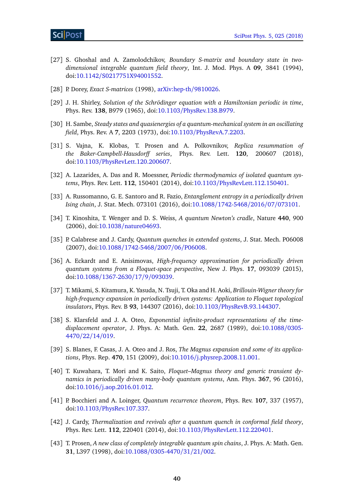- <span id="page-39-0"></span>[27] S. Ghoshal and A. Zamolodchikov, *Boundary S-matrix and boundary state in twodimensional integrable quantum field theory*, Int. J. Mod. Phys. A **09**, 3841 (1994), doi:10.1142/[S0217751X94001552.](http://dx.doi.org/10.1142/S0217751X94001552)
- <span id="page-39-1"></span>[28] P. Dorey, *Exact S-matrices* (1998), [arXiv:hep-th](https://arxiv.org/abs/hep-th/9810026)/9810026.
- <span id="page-39-2"></span>[29] J. H. Shirley, *Solution of the Schrödinger equation with a Hamiltonian periodic in time*, Phys. Rev. **138**, B979 (1965), doi:10.1103/[PhysRev.138.B979.](http://dx.doi.org/10.1103/PhysRev.138.B979)
- <span id="page-39-3"></span>[30] H. Sambe, *Steady states and quasienergies of a quantum-mechanical system in an oscillating field*, Phys. Rev. A **7**, 2203 (1973), doi:10.1103/[PhysRevA.7.2203.](http://dx.doi.org/10.1103/PhysRevA.7.2203)
- <span id="page-39-4"></span>[31] S. Vajna, K. Klobas, T. Prosen and A. Polkovnikov, *Replica resummation of the Baker-Campbell-Hausdorff series*, Phys. Rev. Lett. **120**, 200607 (2018), doi:10.1103/[PhysRevLett.120.200607.](http://dx.doi.org/10.1103/PhysRevLett.120.200607)
- <span id="page-39-5"></span>[32] A. Lazarides, A. Das and R. Moessner, *Periodic thermodynamics of isolated quantum systems*, Phys. Rev. Lett. **112**, 150401 (2014), doi:10.1103/[PhysRevLett.112.150401.](http://dx.doi.org/10.1103/PhysRevLett.112.150401)
- <span id="page-39-6"></span>[33] A. Russomanno, G. E. Santoro and R. Fazio, *Entanglement entropy in a periodically driven Ising chain*, J. Stat. Mech. 073101 (2016), doi:10.1088/[1742-5468](http://dx.doi.org/10.1088/1742-5468/2016/07/073101)/2016/07/073101.
- <span id="page-39-7"></span>[34] T. Kinoshita, T. Wenger and D. S. Weiss, *A quantum Newton's cradle*, Nature **440**, 900 (2006), doi:10.1038/[nature04693.](http://dx.doi.org/10.1038/nature04693)
- <span id="page-39-8"></span>[35] P. Calabrese and J. Cardy, *Quantum quenches in extended systems*, J. Stat. Mech. P06008 (2007), doi:10.1088/[1742-5468](http://dx.doi.org/10.1088/1742-5468/2007/06/P06008)/2007/06/P06008.
- <span id="page-39-9"></span>[36] A. Eckardt and E. Anisimovas, *High-frequency approximation for periodically driven quantum systems from a Floquet-space perspective*, New J. Phys. **17**, 093039 (2015), doi:10.1088/[1367-2630](http://dx.doi.org/10.1088/1367-2630/17/9/093039)/17/9/093039.
- [37] T. Mikami, S. Kitamura, K. Yasuda, N. Tsuji, T. Oka and H. Aoki, *Brillouin-Wigner theory for high-frequency expansion in periodically driven systems: Application to Floquet topological insulators*, Phys. Rev. B **93**, 144307 (2016), doi:10.1103/[PhysRevB.93.144307.](http://dx.doi.org/10.1103/PhysRevB.93.144307)
- [38] S. Klarsfeld and J. A. Oteo, *Exponential infinite-product representations of the timedisplacement operator*, J. Phys. A: Math. Gen. **22**, 2687 (1989), doi[:10.1088](http://dx.doi.org/10.1088/0305-4470/22/14/019)/0305- [4470](http://dx.doi.org/10.1088/0305-4470/22/14/019)/22/14/019.
- [39] S. Blanes, F. Casas, J. A. Oteo and J. Ros, *The Magnus expansion and some of its applications*, Phys. Rep. **470**, 151 (2009), doi:10.1016/[j.physrep.2008.11.001.](http://dx.doi.org/10.1016/j.physrep.2008.11.001)
- <span id="page-39-10"></span>[40] T. Kuwahara, T. Mori and K. Saito, *Floquet–Magnus theory and generic transient dynamics in periodically driven many-body quantum systems*, Ann. Phys. **367**, 96 (2016), doi:10.1016/[j.aop.2016.01.012.](http://dx.doi.org/10.1016/j.aop.2016.01.012)
- <span id="page-39-11"></span>[41] P. Bocchieri and A. Loinger, *Quantum recurrence theorem*, Phys. Rev. **107**, 337 (1957), doi:10.1103/[PhysRev.107.337.](http://dx.doi.org/10.1103/PhysRev.107.337)
- <span id="page-39-12"></span>[42] J. Cardy, *Thermalization and revivals after a quantum quench in conformal field theory*, Phys. Rev. Lett. **112**, 220401 (2014), doi:10.1103/[PhysRevLett.112.220401.](http://dx.doi.org/10.1103/PhysRevLett.112.220401)
- <span id="page-39-13"></span>[43] T. Prosen, *A new class of completely integrable quantum spin chains*, J. Phys. A: Math. Gen. **31**, L397 (1998), doi:10.1088/[0305-4470](http://dx.doi.org/10.1088/0305-4470/31/21/002)/31/21/002.